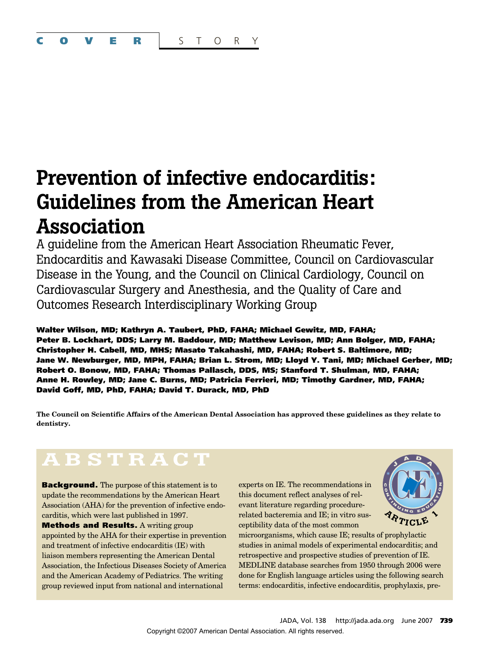# **Prevention of infective endocarditis: Guidelines from the American Heart Association**

A guideline from the American Heart Association Rheumatic Fever, Endocarditis and Kawasaki Disease Committee, Council on Cardiovascular Disease in the Young, and the Council on Clinical Cardiology, Council on Cardiovascular Surgery and Anesthesia, and the Quality of Care and Outcomes Research Interdisciplinary Working Group

**Walter Wilson, MD; Kathryn A. Taubert, PhD, FAHA; Michael Gewitz, MD, FAHA; Peter B. Lockhart, DDS; Larry M. Baddour, MD; Matthew Levison, MD; Ann Bolger, MD, FAHA; Christopher H. Cabell, MD, MHS; Masato Takahashi, MD, FAHA; Robert S. Baltimore, MD; Jane W. Newburger, MD, MPH, FAHA; Brian L. Strom, MD; Lloyd Y. Tani, MD; Michael Gerber, MD; Robert O. Bonow, MD, FAHA; Thomas Pallasch, DDS, MS; Stanford T. Shulman, MD, FAHA; Anne H. Rowley, MD; Jane C. Burns, MD; Patricia Ferrieri, MD; Timothy Gardner, MD, FAHA; David Goff, MD, PhD, FAHA; David T. Durack, MD, PhD**

**The Council on Scientific Affairs of the American Dental Association has approved these guidelines as they relate to dentistry.**

# **ABSTRACT**

**Background.** The purpose of this statement is to update the recommendations by the American Heart Association (AHA) for the prevention of infective endocarditis, which were last published in 1997.

**Methods and Results.** A writing group appointed by the AHA for their expertise in prevention and treatment of infective endocarditis (IE) with liaison members representing the American Dental Association, the Infectious Diseases Society of America and the American Academy of Pediatrics. The writing group reviewed input from national and international

experts on IE. The recommendations in this document reflect analyses of relevant literature regarding procedurerelated bacteremia and IE; in vitro susceptibility data of the most common



microorganisms, which cause IE; results of prophylactic studies in animal models of experimental endocarditis; and retrospective and prospective studies of prevention of IE. MEDLINE database searches from 1950 through 2006 were done for English language articles using the following search terms: endocarditis, infective endocarditis, prophylaxis, pre-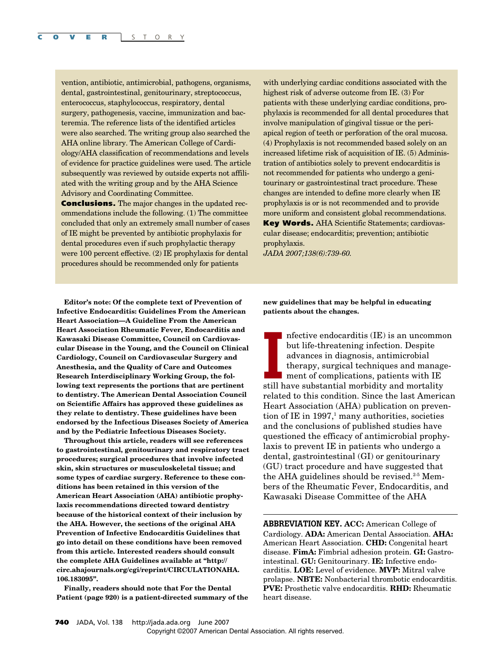vention, antibiotic, antimicrobial, pathogens, organisms, dental, gastrointestinal, genitourinary, streptococcus, enterococcus, staphylococcus, respiratory, dental surgery, pathogenesis, vaccine, immunization and bacteremia. The reference lists of the identified articles were also searched. The writing group also searched the AHA online library. The American College of Cardiology/AHA classification of recommendations and levels of evidence for practice guidelines were used. The article subsequently was reviewed by outside experts not affiliated with the writing group and by the AHA Science Advisory and Coordinating Committee.

**Conclusions.** The major changes in the updated recommendations include the following. (1) The committee concluded that only an extremely small number of cases of IE might be prevented by antibiotic prophylaxis for dental procedures even if such prophylactic therapy were 100 percent effective. (2) IE prophylaxis for dental procedures should be recommended only for patients

with underlying cardiac conditions associated with the highest risk of adverse outcome from IE. (3) For patients with these underlying cardiac conditions, prophylaxis is recommended for all dental procedures that involve manipulation of gingival tissue or the periapical region of teeth or perforation of the oral mucosa. (4) Prophylaxis is not recommended based solely on an increased lifetime risk of acquisition of IE. (5) Administration of antibiotics solely to prevent endocarditis is not recommended for patients who undergo a genitourinary or gastrointestinal tract procedure. These changes are intended to define more clearly when IE prophylaxis is or is not recommended and to provide more uniform and consistent global recommendations. **Key Words.** AHA Scientific Statements; cardiovascular disease; endocarditis; prevention; antibiotic prophylaxis.

*JADA 2007;138(6):739-60.*

**Editor's note: Of the complete text of Prevention of Infective Endocarditis: Guidelines From the American Heart Association—A Guideline From the American Heart Association Rheumatic Fever, Endocarditis and Kawasaki Disease Committee, Council on Cardiovascular Disease in the Young, and the Council on Clinical Cardiology, Council on Cardiovascular Surgery and Anesthesia, and the Quality of Care and Outcomes Research Interdisciplinary Working Group, the following text represents the portions that are pertinent to dentistry. The American Dental Association Council on Scientific Affairs has approved these guidelines as they relate to dentistry. These guidelines have been endorsed by the Infectious Diseases Society of America and by the Pediatric Infectious Diseases Society.**

**Throughout this article, readers will see references to gastrointestinal, genitourinary and respiratory tract procedures; surgical procedures that involve infected skin, skin structures or musculoskeletal tissue; and some types of cardiac surgery. Reference to these conditions has been retained in this version of the American Heart Association (AHA) antibiotic prophylaxis recommendations directed toward dentistry because of the historical context of their inclusion by the AHA. However, the sections of the original AHA Prevention of Infective Endocarditis Guidelines that go into detail on these conditions have been removed from this article. Interested readers should consult the complete AHA Guidelines available at "http:// circ.ahajournals.org/cgi/reprint/CIRCULATIONAHA. 106.183095".**

**Finally, readers should note that For the Dental Patient (page 920) is a patient-directed summary of the** **new guidelines that may be helpful in educating patients about the changes.**

Infective endocarditis (IE) is an uncomm<br>but life-threatening infection. Despite<br>advances in diagnosis, antimicrobial<br>therapy, surgical techniques and manag<br>ment of complications, patients with IE<br>still have substantial mo nfective endocarditis (IE) is an uncommon but life-threatening infection. Despite advances in diagnosis, antimicrobial therapy, surgical techniques and management of complications, patients with IE related to this condition. Since the last American Heart Association (AHA) publication on prevention of IE in  $1997<sup>1</sup>$  many authorities, societies and the conclusions of published studies have questioned the efficacy of antimicrobial prophylaxis to prevent IE in patients who undergo a dental, gastrointestinal (GI) or genitourinary (GU) tract procedure and have suggested that the AHA guidelines should be revised.<sup>2-5</sup> Members of the Rheumatic Fever, Endocarditis, and Kawasaki Disease Committee of the AHA

**ABBREVIATION KEY. ACC:** American College of Cardiology. **ADA:** American Dental Association. **AHA:** American Heart Association. **CHD:** Congenital heart disease. **FimA:** Fimbrial adhesion protein. **GI:** Gastrointestinal. **GU:** Genitourinary. **IE:** Infective endocarditis. **LOE:** Level of evidence. **MVP:** Mitral valve prolapse. **NBTE:** Nonbacterial thrombotic endocarditis. **PVE:** Prosthetic valve endocarditis. **RHD:** Rheumatic heart disease.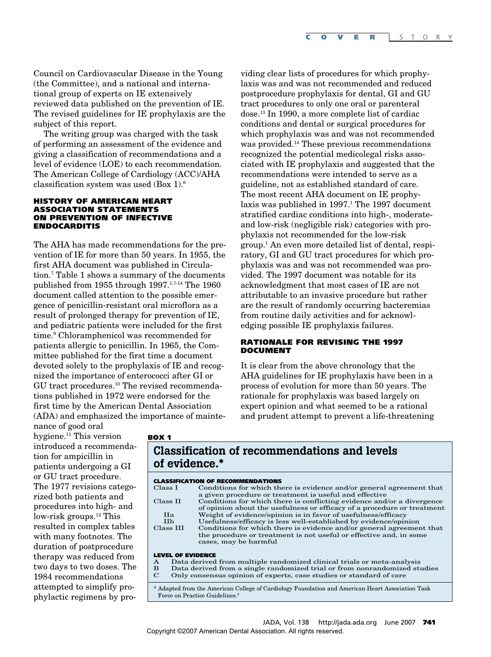Council on Cardiovascular Disease in the Young (the Committee), and a national and international group of experts on IE extensively reviewed data published on the prevention of IE. The revised guidelines for IE prophylaxis are the subject of this report.

The writing group was charged with the task of performing an assessment of the evidence and giving a classification of recommendations and a level of evidence (LOE) to each recommendation. The American College of Cardiology (ACC)/AHA classification system was used  $(Box 1)$ .<sup>6</sup>

### **HISTORY OF AMERICAN HEART ASSOCIATION STATEMENTS ON PREVENTION OF INFECTIVE ENDOCARDITIS**

The AHA has made recommendations for the prevention of IE for more than 50 years. In 1955, the first AHA document was published in Circulation.7 Table 1 shows a summary of the documents published from 1955 through 1997.1,7-14 The 1960 document called attention to the possible emergence of penicillin-resistant oral microflora as a result of prolonged therapy for prevention of IE, and pediatric patients were included for the first time.9 Chloramphenicol was recommended for patients allergic to penicillin. In 1965, the Committee published for the first time a document devoted solely to the prophylaxis of IE and recognized the importance of enterococci after GI or GU tract procedures.<sup>10</sup> The revised recommendations published in 1972 were endorsed for the first time by the American Dental Association (ADA) and emphasized the importance of mainteviding clear lists of procedures for which prophylaxis was and was not recommended and reduced postprocedure prophylaxis for dental, GI and GU tract procedures to only one oral or parenteral dose.13 In 1990, a more complete list of cardiac conditions and dental or surgical procedures for which prophylaxis was and was not recommended was provided.<sup>14</sup> These previous recommendations recognized the potential medicolegal risks associated with IE prophylaxis and suggested that the recommendations were intended to serve as a guideline, not as established standard of care. The most recent AHA document on IE prophylaxis was published in  $1997<sup>1</sup>$ . The 1997 document stratified cardiac conditions into high-, moderateand low-risk (negligible risk) categories with prophylaxis not recommended for the low-risk group.1 An even more detailed list of dental, respiratory, GI and GU tract procedures for which prophylaxis was and was not recommended was provided. The 1997 document was notable for its acknowledgment that most cases of IE are not attributable to an invasive procedure but rather are the result of randomly occurring bacteremias from routine daily activities and for acknowledging possible IE prophylaxis failures.

### **RATIONALE FOR REVISING THE 1997 DOCUMENT**

It is clear from the above chronology that the AHA guidelines for IE prophylaxis have been in a process of evolution for more than 50 years. The rationale for prophylaxis was based largely on expert opinion and what seemed to be a rational and prudent attempt to prevent a life-threatening

nance of good oral hygiene.<sup>11</sup> This version introduced a recommendation for ampicillin in patients undergoing a GI or GU tract procedure. The 1977 revisions categorized both patients and procedures into high- and low-risk groups.<sup>12</sup> This resulted in complex tables with many footnotes. The duration of postprocedure therapy was reduced from two days to two doses. The 1984 recommendations attempted to simplify prophylactic regimens by pro-

### **BOX 1**

### **Classification of recommendations and levels of evidence.\***

#### **CLASSIFICATION OF RECOMMENDATIONS**

| Class I    | Conditions for which there is evidence and/or general agreement that    |
|------------|-------------------------------------------------------------------------|
|            | a given procedure or treatment is useful and effective                  |
| Class II   | Conditions for which there is conflicting evidence and/or a divergence  |
|            | of opinion about the usefulness or efficacy of a procedure or treatment |
| Hа         | Weight of evidence/opinion is in favor of usefulness/efficacy           |
| <b>IIb</b> | Usefulness/efficacy is less well-established by evidence/opinion        |
| Class III  | Conditions for which there is evidence and/or general agreement that    |
|            | the procedure or treatment is not useful or effective and, in some      |
|            | cases, may be harmful                                                   |
|            |                                                                         |
|            |                                                                         |

- **LEVEL OF EVIDENCE**<br>A Data derived A Data derived from multiple randomized clinical trials or meta-analysis B Data derived from a single randomized trial or from nonrandomized sti B Data derived from a single randomized trial or from nonrandomized studies<br>C Only consensus opinion of experts, case studies or standard of care
- Only consensus opinion of experts, case studies or standard of care

\* Adapted from the American College of Cardiology Foundation and American Heart Association Task Force on Practice Guidelines.<sup>6</sup>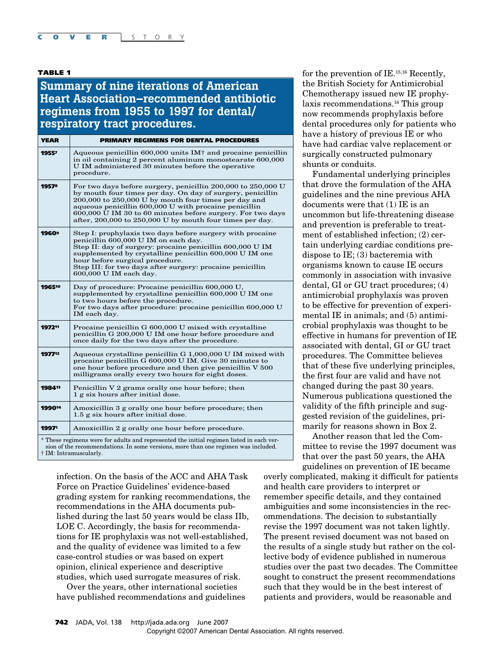### **TABLE 1**

# **Summary of nine iterations of American Heart Association–recommended antibiotic regimens from 1955 to 1997 for dental/ respiratory tract procedures.**

| <b>YEAR</b>                                                                                                                                                                                              | <b>PRIMARY REGIMENS FOR DENTAL PROCEDURES</b>                                                                                                                                                                                                                                                                                                                         |  |  |
|----------------------------------------------------------------------------------------------------------------------------------------------------------------------------------------------------------|-----------------------------------------------------------------------------------------------------------------------------------------------------------------------------------------------------------------------------------------------------------------------------------------------------------------------------------------------------------------------|--|--|
| 19557                                                                                                                                                                                                    | Aqueous penicillin $600,000$ units IM <sup><math>\dagger</math></sup> and procaine penicillin<br>in oil containing 2 percent aluminum monostearate 600,000<br>U IM administered 30 minutes before the operative<br>procedure.                                                                                                                                         |  |  |
| 19578                                                                                                                                                                                                    | For two days before surgery, penicillin 200,000 to 250,000 U<br>by mouth four times per day. On day of surgery, penicillin<br>200,000 to 250,000 U by mouth four times per day and<br>aqueous penicillin 600,000 U with procaine penicillin<br>600,000 U IM 30 to 60 minutes before surgery. For two days<br>after, 200,000 to 250,000 U by mouth four times per day. |  |  |
| 1960 <sup>9</sup>                                                                                                                                                                                        | Step I: prophylaxis two days before surgery with procaine<br>penicillin 600,000 U IM on each day.<br>Step II: day of surgery: procaine penicillin 600,000 U IM<br>supplemented by crystalline penicillin 600,000 U IM one<br>hour before surgical procedure.<br>Step III: for two days after surgery: procaine penicillin<br>600,000 U IM each day.                   |  |  |
| 196510                                                                                                                                                                                                   | Day of procedure: Procaine penicillin 600,000 U,<br>supplemented by crystalline penicillin 600,000 U IM one<br>to two hours before the procedure.<br>For two days after procedure: procaine penicillin 600,000 U<br>IM each day.                                                                                                                                      |  |  |
| 197211                                                                                                                                                                                                   | Procaine penicillin G 600,000 U mixed with crystalline<br>penicillin G 200,000 U IM one hour before procedure and<br>once daily for the two days after the procedure.                                                                                                                                                                                                 |  |  |
| 197712                                                                                                                                                                                                   | Aqueous crystalline penicillin G 1,000,000 U IM mixed with<br>procaine penicillin G 600,000 U IM. Give 30 minutes to<br>one hour before procedure and then give penicillin V 500<br>milligrams orally every two hours for eight doses.                                                                                                                                |  |  |
| 198413                                                                                                                                                                                                   | Penicillin V 2 grams orally one hour before; then<br>1 g six hours after initial dose.                                                                                                                                                                                                                                                                                |  |  |
| 199014                                                                                                                                                                                                   | Amoxicillin 3 g orally one hour before procedure; then<br>1.5 g six hours after initial dose.                                                                                                                                                                                                                                                                         |  |  |
| 19971                                                                                                                                                                                                    | Amoxicillin 2 g orally one hour before procedure.                                                                                                                                                                                                                                                                                                                     |  |  |
| * These regimens were for adults and represented the initial regimen listed in each ver-<br>sion of the recommendations. In some versions, more than one regimen was included.<br>† IM: Intramuscularly. |                                                                                                                                                                                                                                                                                                                                                                       |  |  |

infection. On the basis of the ACC and AHA Task Force on Practice Guidelines' evidence-based grading system for ranking recommendations, the recommendations in the AHA documents published during the last 50 years would be class IIb, LOE C. Accordingly, the basis for recommendations for IE prophylaxis was not well-established, and the quality of evidence was limited to a few case-control studies or was based on expert opinion, clinical experience and descriptive studies, which used surrogate measures of risk.

Over the years, other international societies have published recommendations and guidelines

for the prevention of IE. $^{15,16}$  Recently, the British Society for Antimicrobial Chemotherapy issued new IE prophylaxis recommendations.<sup>16</sup> This group now recommends prophylaxis before dental procedures only for patients who have a history of previous IE or who have had cardiac valve replacement or surgically constructed pulmonary shunts or conduits.

Fundamental underlying principles that drove the formulation of the AHA guidelines and the nine previous AHA documents were that (1) IE is an uncommon but life-threatening disease and prevention is preferable to treatment of established infection; (2) certain underlying cardiac conditions predispose to IE; (3) bacteremia with organisms known to cause IE occurs commonly in association with invasive dental, GI or GU tract procedures; (4) antimicrobial prophylaxis was proven to be effective for prevention of experimental IE in animals; and (5) antimicrobial prophylaxis was thought to be effective in humans for prevention of IE associated with dental, GI or GU tract procedures. The Committee believes that of these five underlying principles, the first four are valid and have not changed during the past 30 years. Numerous publications questioned the validity of the fifth principle and suggested revision of the guidelines, primarily for reasons shown in Box 2.

Another reason that led the Committee to revise the 1997 document was that over the past 50 years, the AHA guidelines on prevention of IE became

overly complicated, making it difficult for patients and health care providers to interpret or remember specific details, and they contained ambiguities and some inconsistencies in the recommendations. The decision to substantially revise the 1997 document was not taken lightly. The present revised document was not based on the results of a single study but rather on the collective body of evidence published in numerous studies over the past two decades. The Committee sought to construct the present recommendations such that they would be in the best interest of patients and providers, would be reasonable and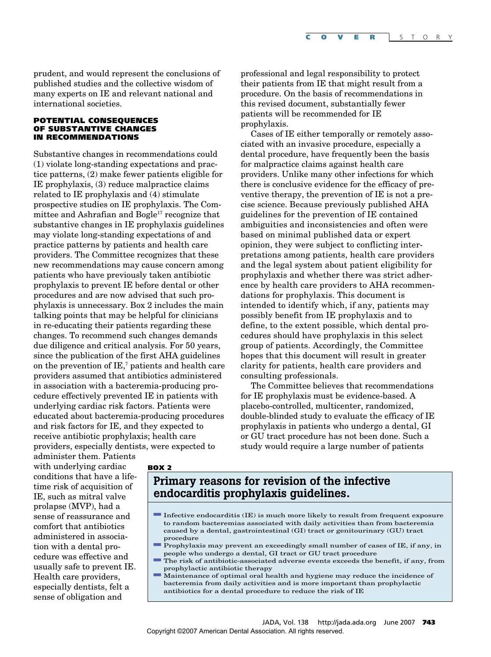prudent, and would represent the conclusions of published studies and the collective wisdom of many experts on IE and relevant national and international societies.

### **POTENTIAL CONSEQUENCES OF SUBSTANTIVE CHANGES IN RECOMMENDATIONS**

Substantive changes in recommendations could (1) violate long-standing expectations and practice patterns, (2) make fewer patients eligible for IE prophylaxis, (3) reduce malpractice claims related to IE prophylaxis and (4) stimulate prospective studies on IE prophylaxis. The Committee and Ashrafian and Bogle<sup>17</sup> recognize that substantive changes in IE prophylaxis guidelines may violate long-standing expectations of and practice patterns by patients and health care providers. The Committee recognizes that these new recommendations may cause concern among patients who have previously taken antibiotic prophylaxis to prevent IE before dental or other procedures and are now advised that such prophylaxis is unnecessary. Box 2 includes the main talking points that may be helpful for clinicians in re-educating their patients regarding these changes. To recommend such changes demands due diligence and critical analysis. For 50 years, since the publication of the first AHA guidelines on the prevention of  $IE^{\tau}$  patients and health care providers assumed that antibiotics administered in association with a bacteremia-producing procedure effectively prevented IE in patients with underlying cardiac risk factors. Patients were educated about bacteremia-producing procedures and risk factors for IE, and they expected to receive antibiotic prophylaxis; health care providers, especially dentists, were expected to

professional and legal responsibility to protect their patients from IE that might result from a procedure. On the basis of recommendations in this revised document, substantially fewer patients will be recommended for IE prophylaxis.

Cases of IE either temporally or remotely associated with an invasive procedure, especially a dental procedure, have frequently been the basis for malpractice claims against health care providers. Unlike many other infections for which there is conclusive evidence for the efficacy of preventive therapy, the prevention of IE is not a precise science. Because previously published AHA guidelines for the prevention of IE contained ambiguities and inconsistencies and often were based on minimal published data or expert opinion, they were subject to conflicting interpretations among patients, health care providers and the legal system about patient eligibility for prophylaxis and whether there was strict adherence by health care providers to AHA recommendations for prophylaxis. This document is intended to identify which, if any, patients may possibly benefit from IE prophylaxis and to define, to the extent possible, which dental procedures should have prophylaxis in this select group of patients. Accordingly, the Committee hopes that this document will result in greater clarity for patients, health care providers and consulting professionals.

The Committee believes that recommendations for IE prophylaxis must be evidence-based. A placebo-controlled, multicenter, randomized, double-blinded study to evaluate the efficacy of IE prophylaxis in patients who undergo a dental, GI or GU tract procedure has not been done. Such a study would require a large number of patients

administer them. Patients with underlying cardiac conditions that have a lifetime risk of acquisition of IE, such as mitral valve prolapse (MVP), had a sense of reassurance and comfort that antibiotics administered in association with a dental procedure was effective and usually safe to prevent IE. Health care providers, especially dentists, felt a sense of obligation and

### **BOX 2**

# **Primary reasons for revision of the infective endocarditis prophylaxis guidelines.**

- Infective endocarditis (IE) is much more likely to result from frequent exposure to random bacteremias associated with daily activities than from bacteremia caused by a dental, gastrointestinal (GI) tract or genitourinary (GU) tract procedure
- **Prophylaxis may prevent an exceedingly small number of cases of IE, if any, in** people who undergo a dental, GI tract or GU tract procedure
- $\blacksquare$  The risk of antibiotic-associated adverse events exceeds the benefit, if any, from prophylactic antibiotic therapy
- Maintenance of optimal oral health and hygiene may reduce the incidence of bacteremia from daily activities and is more important than prophylactic antibiotics for a dental procedure to reduce the risk of IE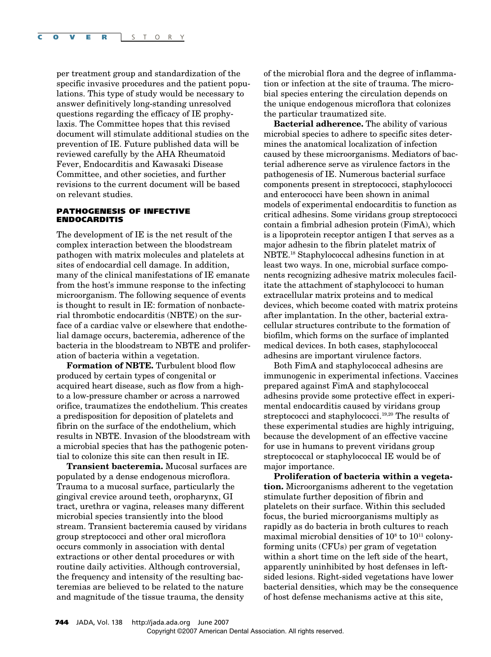per treatment group and standardization of the specific invasive procedures and the patient populations. This type of study would be necessary to answer definitively long-standing unresolved questions regarding the efficacy of IE prophylaxis. The Committee hopes that this revised document will stimulate additional studies on the prevention of IE. Future published data will be reviewed carefully by the AHA Rheumatoid Fever, Endocarditis and Kawasaki Disease Committee, and other societies, and further revisions to the current document will be based on relevant studies.

### **PATHOGENESIS OF INFECTIVE ENDOCARDITIS**

The development of IE is the net result of the complex interaction between the bloodstream pathogen with matrix molecules and platelets at sites of endocardial cell damage. In addition, many of the clinical manifestations of IE emanate from the host's immune response to the infecting microorganism. The following sequence of events is thought to result in IE: formation of nonbacterial thrombotic endocarditis (NBTE) on the surface of a cardiac valve or elsewhere that endothelial damage occurs, bacteremia, adherence of the bacteria in the bloodstream to NBTE and proliferation of bacteria within a vegetation.

**Formation of NBTE.** Turbulent blood flow produced by certain types of congenital or acquired heart disease, such as flow from a highto a low-pressure chamber or across a narrowed orifice, traumatizes the endothelium. This creates a predisposition for deposition of platelets and fibrin on the surface of the endothelium, which results in NBTE. Invasion of the bloodstream with a microbial species that has the pathogenic potential to colonize this site can then result in IE.

**Transient bacteremia.** Mucosal surfaces are populated by a dense endogenous microflora. Trauma to a mucosal surface, particularly the gingival crevice around teeth, oropharynx, GI tract, urethra or vagina, releases many different microbial species transiently into the blood stream. Transient bacteremia caused by viridans group streptococci and other oral microflora occurs commonly in association with dental extractions or other dental procedures or with routine daily activities. Although controversial, the frequency and intensity of the resulting bacteremias are believed to be related to the nature and magnitude of the tissue trauma, the density

of the microbial flora and the degree of inflammation or infection at the site of trauma. The microbial species entering the circulation depends on the unique endogenous microflora that colonizes the particular traumatized site.

**Bacterial adherence.** The ability of various microbial species to adhere to specific sites determines the anatomical localization of infection caused by these microorganisms. Mediators of bacterial adherence serve as virulence factors in the pathogenesis of IE. Numerous bacterial surface components present in streptococci, staphylococci and enterococci have been shown in animal models of experimental endocarditis to function as critical adhesins. Some viridans group streptococci contain a fimbrial adhesion protein (FimA), which is a lipoprotein receptor antigen I that serves as a major adhesin to the fibrin platelet matrix of NBTE.18 Staphylococcal adhesins function in at least two ways. In one, microbial surface components recognizing adhesive matrix molecules facilitate the attachment of staphylococci to human extracellular matrix proteins and to medical devices, which become coated with matrix proteins after implantation. In the other, bacterial extracellular structures contribute to the formation of biofilm, which forms on the surface of implanted medical devices. In both cases, staphylococcal adhesins are important virulence factors.

Both FimA and staphylococcal adhesins are immunogenic in experimental infections. Vaccines prepared against FimA and staphylococcal adhesins provide some protective effect in experimental endocarditis caused by viridans group streptococci and staphylococci.<sup>19,20</sup> The results of these experimental studies are highly intriguing, because the development of an effective vaccine for use in humans to prevent viridans group streptococcal or staphylococcal IE would be of major importance.

**Proliferation of bacteria within a vegetation.** Microorganisms adherent to the vegetation stimulate further deposition of fibrin and platelets on their surface. Within this secluded focus, the buried microorganisms multiply as rapidly as do bacteria in broth cultures to reach maximal microbial densities of  $10^8$  to  $10^{11}$  colonyforming units (CFUs) per gram of vegetation within a short time on the left side of the heart, apparently uninhibited by host defenses in leftsided lesions. Right-sided vegetations have lower bacterial densities, which may be the consequence of host defense mechanisms active at this site,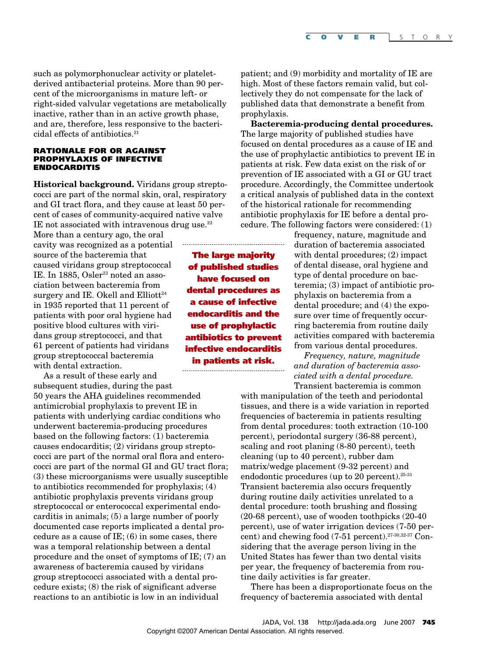such as polymorphonuclear activity or plateletderived antibacterial proteins. More than 90 percent of the microorganisms in mature left- or right-sided valvular vegetations are metabolically inactive, rather than in an active growth phase, and are, therefore, less responsive to the bactericidal effects of antibiotics.21

### **RATIONALE FOR OR AGAINST PROPHYLAXIS OF INFECTIVE ENDOCARDITIS**

**Historical background.** Viridans group streptococci are part of the normal skin, oral, respiratory and GI tract flora, and they cause at least 50 percent of cases of community-acquired native valve IE not associated with intravenous drug use. $22$ 

More than a century ago, the oral cavity was recognized as a potential source of the bacteremia that caused viridans group streptococcal IE. In 1885, Osler<sup>23</sup> noted an association between bacteremia from surgery and IE. Okell and  $Elliot^{24}$ in 1935 reported that 11 percent of patients with poor oral hygiene had positive blood cultures with viridans group streptococci, and that 61 percent of patients had viridans group streptococcal bacteremia with dental extraction.

As a result of these early and subsequent studies, during the past

50 years the AHA guidelines recommended antimicrobial prophylaxis to prevent IE in patients with underlying cardiac conditions who underwent bacteremia-producing procedures based on the following factors: (1) bacteremia causes endocarditis; (2) viridans group streptococci are part of the normal oral flora and enterococci are part of the normal GI and GU tract flora; (3) these microorganisms were usually susceptible to antibiotics recommended for prophylaxis; (4) antibiotic prophylaxis prevents viridans group streptococcal or enterococcal experimental endocarditis in animals; (5) a large number of poorly documented case reports implicated a dental procedure as a cause of IE;  $(6)$  in some cases, there was a temporal relationship between a dental procedure and the onset of symptoms of IE; (7) an awareness of bacteremia caused by viridans group streptococci associated with a dental procedure exists; (8) the risk of significant adverse reactions to an antibiotic is low in an individual

**The large majority of published studies have focused on dental procedures as a cause of infective endocarditis and the use of prophylactic antibiotics to prevent infective endocarditis in patients at risk.**

patient; and (9) morbidity and mortality of IE are high. Most of these factors remain valid, but collectively they do not compensate for the lack of published data that demonstrate a benefit from prophylaxis.

**Bacteremia-producing dental procedures.** The large majority of published studies have focused on dental procedures as a cause of IE and the use of prophylactic antibiotics to prevent IE in patients at risk. Few data exist on the risk of or prevention of IE associated with a GI or GU tract procedure. Accordingly, the Committee undertook a critical analysis of published data in the context of the historical rationale for recommending antibiotic prophylaxis for IE before a dental procedure. The following factors were considered: (1)

> frequency, nature, magnitude and duration of bacteremia associated with dental procedures; (2) impact of dental disease, oral hygiene and type of dental procedure on bacteremia; (3) impact of antibiotic prophylaxis on bacteremia from a dental procedure; and (4) the exposure over time of frequently occurring bacteremia from routine daily activities compared with bacteremia from various dental procedures.

*Frequency, nature, magnitude and duration of bacteremia associated with a dental procedure.* Transient bacteremia is common

with manipulation of the teeth and periodontal tissues, and there is a wide variation in reported frequencies of bacteremia in patients resulting from dental procedures: tooth extraction (10-100 percent), periodontal surgery (36-88 percent), scaling and root planing (8-80 percent), teeth cleaning (up to 40 percent), rubber dam matrix/wedge placement (9-32 percent) and endodontic procedures (up to 20 percent). $25-31$ Transient bacteremia also occurs frequently during routine daily activities unrelated to a dental procedure: tooth brushing and flossing (20-68 percent), use of wooden toothpicks (20-40 percent), use of water irrigation devices (7-50 percent) and chewing food (7-51 percent).<sup>27-30,32-37</sup> Considering that the average person living in the United States has fewer than two dental visits per year, the frequency of bacteremia from routine daily activities is far greater.

There has been a disproportionate focus on the frequency of bacteremia associated with dental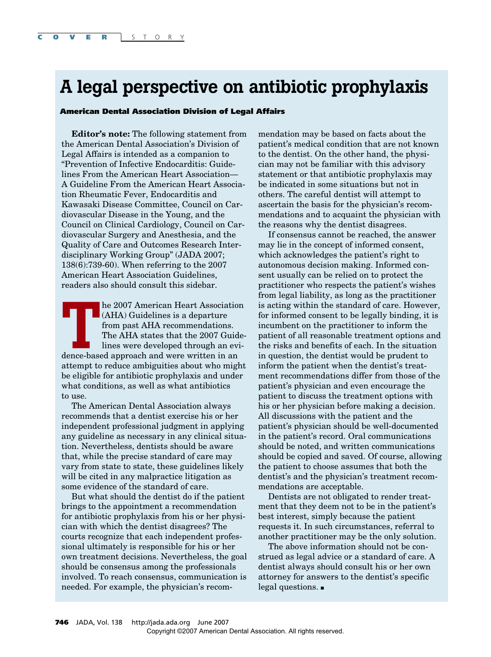# **A legal perspective on antibiotic prophylaxis**

### **American Dental Association Division of Legal Affairs**

**Editor's note:** The following statement from the American Dental Association's Division of Legal Affairs is intended as a companion to "Prevention of Infective Endocarditis: Guidelines From the American Heart Association— A Guideline From the American Heart Association Rheumatic Fever, Endocarditis and Kawasaki Disease Committee, Council on Cardiovascular Disease in the Young, and the Council on Clinical Cardiology, Council on Cardiovascular Surgery and Anesthesia, and the Quality of Care and Outcomes Research Interdisciplinary Working Group" (JADA 2007; 138(6):739-60). When referring to the 2007 American Heart Association Guidelines, readers also should consult this sidebar.

**THE 2007 American Heart Association**<br>
(AHA) Guidelines is a departure<br>
from past AHA recommendations.<br>
The AHA states that the 2007 Guide<br>
lines were developed through an evi-<br>
dence-based approach and were written in an (AHA) Guidelines is a departure from past AHA recommendations. The AHA states that the 2007 Guidelines were developed through an eviattempt to reduce ambiguities about who might be eligible for antibiotic prophylaxis and under what conditions, as well as what antibiotics to use.

The American Dental Association always recommends that a dentist exercise his or her independent professional judgment in applying any guideline as necessary in any clinical situation. Nevertheless, dentists should be aware that, while the precise standard of care may vary from state to state, these guidelines likely will be cited in any malpractice litigation as some evidence of the standard of care.

But what should the dentist do if the patient brings to the appointment a recommendation for antibiotic prophylaxis from his or her physician with which the dentist disagrees? The courts recognize that each independent professional ultimately is responsible for his or her own treatment decisions. Nevertheless, the goal should be consensus among the professionals involved. To reach consensus, communication is needed. For example, the physician's recommendation may be based on facts about the patient's medical condition that are not known to the dentist. On the other hand, the physician may not be familiar with this advisory statement or that antibiotic prophylaxis may be indicated in some situations but not in others. The careful dentist will attempt to ascertain the basis for the physician's recommendations and to acquaint the physician with the reasons why the dentist disagrees.

If consensus cannot be reached, the answer may lie in the concept of informed consent, which acknowledges the patient's right to autonomous decision making. Informed consent usually can be relied on to protect the practitioner who respects the patient's wishes from legal liability, as long as the practitioner is acting within the standard of care. However, for informed consent to be legally binding, it is incumbent on the practitioner to inform the patient of all reasonable treatment options and the risks and benefits of each. In the situation in question, the dentist would be prudent to inform the patient when the dentist's treatment recommendations differ from those of the patient's physician and even encourage the patient to discuss the treatment options with his or her physician before making a decision. All discussions with the patient and the patient's physician should be well-documented in the patient's record. Oral communications should be noted, and written communications should be copied and saved. Of course, allowing the patient to choose assumes that both the dentist's and the physician's treatment recommendations are acceptable.

Dentists are not obligated to render treatment that they deem not to be in the patient's best interest, simply because the patient requests it. In such circumstances, referral to another practitioner may be the only solution.

The above information should not be construed as legal advice or a standard of care. A dentist always should consult his or her own attorney for answers to the dentist's specific legal questions. ■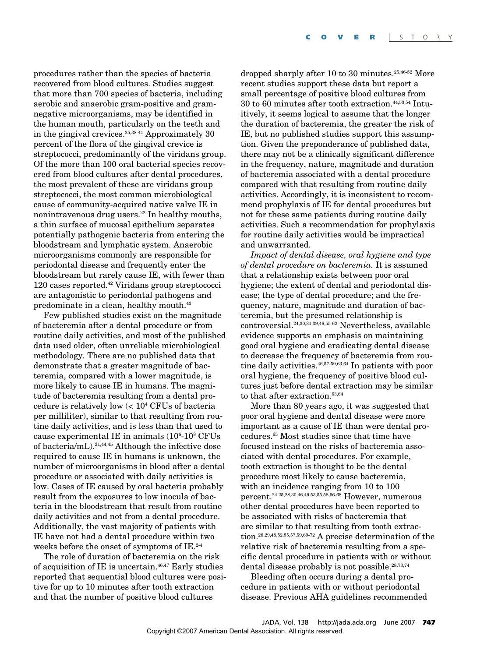procedures rather than the species of bacteria recovered from blood cultures. Studies suggest that more than 700 species of bacteria, including aerobic and anaerobic gram-positive and gramnegative microorganisms, may be identified in the human mouth, particularly on the teeth and in the gingival crevices. $25,38-41$  Approximately 30 percent of the flora of the gingival crevice is streptococci, predominantly of the viridans group. Of the more than 100 oral bacterial species recovered from blood cultures after dental procedures, the most prevalent of these are viridans group streptococci, the most common microbiological cause of community-acquired native valve IE in nonintravenous drug users.<sup>22</sup> In healthy mouths, a thin surface of mucosal epithelium separates potentially pathogenic bacteria from entering the bloodstream and lymphatic system. Anaerobic microorganisms commonly are responsible for periodontal disease and frequently enter the bloodstream but rarely cause IE, with fewer than  $120$  cases reported.<sup>42</sup> Viridans group streptococci are antagonistic to periodontal pathogens and predominate in a clean, healthy mouth.<sup>43</sup>

Few published studies exist on the magnitude of bacteremia after a dental procedure or from routine daily activities, and most of the published data used older, often unreliable microbiological methodology. There are no published data that demonstrate that a greater magnitude of bacteremia, compared with a lower magnitude, is more likely to cause IE in humans. The magnitude of bacteremia resulting from a dental procedure is relatively low  $(< 10<sup>4</sup> CFUs$  of bacteria per milliliter), similar to that resulting from routine daily activities, and is less than that used to cause experimental IE in animals  $(10^{\rm 6}\text{-}10^{\rm 8}\,\mathrm{CFUs}$ of bacteria/mL).21,44,45 Although the infective dose required to cause IE in humans is unknown, the number of microorganisms in blood after a dental procedure or associated with daily activities is low. Cases of IE caused by oral bacteria probably result from the exposures to low inocula of bacteria in the bloodstream that result from routine daily activities and not from a dental procedure. Additionally, the vast majority of patients with IE have not had a dental procedure within two weeks before the onset of symptoms of IE.<sup>2-4</sup>

The role of duration of bacteremia on the risk of acquisition of IE is uncertain. $46,47$  Early studies reported that sequential blood cultures were positive for up to 10 minutes after tooth extraction and that the number of positive blood cultures

dropped sharply after 10 to 30 minutes.<sup>25,46-52</sup> More recent studies support these data but report a small percentage of positive blood cultures from 30 to 60 minutes after tooth extraction.44,53,54 Intuitively, it seems logical to assume that the longer the duration of bacteremia, the greater the risk of IE, but no published studies support this assumption. Given the preponderance of published data, there may not be a clinically significant difference in the frequency, nature, magnitude and duration of bacteremia associated with a dental procedure compared with that resulting from routine daily activities. Accordingly, it is inconsistent to recommend prophylaxis of IE for dental procedures but not for these same patients during routine daily activities. Such a recommendation for prophylaxis for routine daily activities would be impractical and unwarranted.

*Impact of dental disease, oral hygiene and type of dental procedure on bacteremia.* It is assumed that a relationship exists between poor oral hygiene; the extent of dental and periodontal disease; the type of dental procedure; and the frequency, nature, magnitude and duration of bacteremia, but the presumed relationship is controversial.24,30,31,39,46,55-62 Nevertheless, available evidence supports an emphasis on maintaining good oral hygiene and eradicating dental disease to decrease the frequency of bacteremia from routine daily activities.<sup>46,57-59,63,64</sup> In patients with poor oral hygiene, the frequency of positive blood cultures just before dental extraction may be similar to that after extraction.<sup>63,64</sup>

More than 80 years ago, it was suggested that poor oral hygiene and dental disease were more important as a cause of IE than were dental procedures.65 Most studies since that time have focused instead on the risks of bacteremia associated with dental procedures. For example, tooth extraction is thought to be the dental procedure most likely to cause bacteremia, with an incidence ranging from 10 to 100 percent.24,25,28,30,46,49,53,55,58,66-68 However, numerous other dental procedures have been reported to be associated with risks of bacteremia that are similar to that resulting from tooth extraction.28,29,48,52,55,57,59,69-72 A precise determination of the relative risk of bacteremia resulting from a specific dental procedure in patients with or without dental disease probably is not possible. $28,73,74$ 

Bleeding often occurs during a dental procedure in patients with or without periodontal disease. Previous AHA guidelines recommended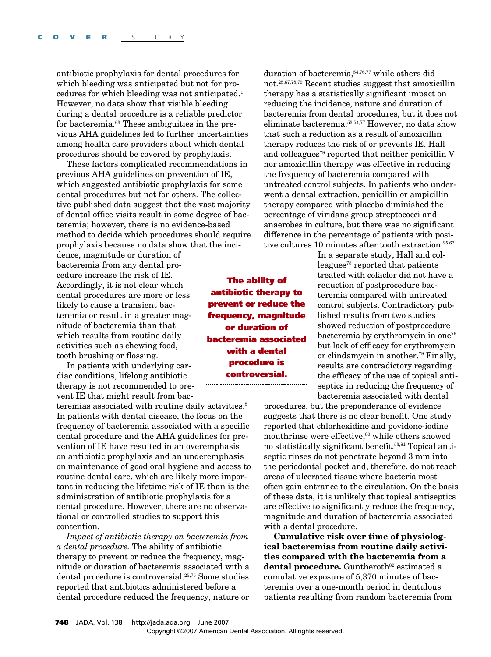antibiotic prophylaxis for dental procedures for which bleeding was anticipated but not for procedures for which bleeding was not anticipated.1 However, no data show that visible bleeding during a dental procedure is a reliable predictor for bacteremia.63 These ambiguities in the previous AHA guidelines led to further uncertainties among health care providers about which dental procedures should be covered by prophylaxis.

These factors complicated recommendations in previous AHA guidelines on prevention of IE, which suggested antibiotic prophylaxis for some dental procedures but not for others. The collective published data suggest that the vast majority of dental office visits result in some degree of bacteremia; however, there is no evidence-based method to decide which procedures should require prophylaxis because no data show that the inci-

dence, magnitude or duration of bacteremia from any dental procedure increase the risk of IE. Accordingly, it is not clear which dental procedures are more or less likely to cause a transient bacteremia or result in a greater magnitude of bacteremia than that which results from routine daily activities such as chewing food, tooth brushing or flossing.

In patients with underlying cardiac conditions, lifelong antibiotic therapy is not recommended to prevent IE that might result from bac-

teremias associated with routine daily activities.<sup>5</sup> In patients with dental disease, the focus on the frequency of bacteremia associated with a specific dental procedure and the AHA guidelines for prevention of IE have resulted in an overemphasis on antibiotic prophylaxis and an underemphasis on maintenance of good oral hygiene and access to routine dental care, which are likely more important in reducing the lifetime risk of IE than is the administration of antibiotic prophylaxis for a dental procedure. However, there are no observational or controlled studies to support this contention.

*Impact of antibiotic therapy on bacteremia from a dental procedure.* The ability of antibiotic therapy to prevent or reduce the frequency, magnitude or duration of bacteremia associated with a dental procedure is controversial.25,75 Some studies reported that antibiotics administered before a dental procedure reduced the frequency, nature or

duration of bacteremia,<sup>54,76,77</sup> while others did not.25,67,78,79 Recent studies suggest that amoxicillin therapy has a statistically significant impact on reducing the incidence, nature and duration of bacteremia from dental procedures, but it does not eliminate bacteremia.53,54,77 However, no data show that such a reduction as a result of amoxicillin therapy reduces the risk of or prevents IE. Hall and colleagues<sup> $79$ </sup> reported that neither penicillin V nor amoxicillin therapy was effective in reducing the frequency of bacteremia compared with untreated control subjects. In patients who underwent a dental extraction, penicillin or ampicillin therapy compared with placebo diminished the percentage of viridans group streptococci and anaerobes in culture, but there was no significant difference in the percentage of patients with positive cultures 10 minutes after tooth extraction.<sup>25,67</sup>

> In a separate study, Hall and colleagues<sup>78</sup> reported that patients treated with cefaclor did not have a reduction of postprocedure bacteremia compared with untreated control subjects. Contradictory published results from two studies showed reduction of postprocedure bacteremia by erythromycin in one<sup>76</sup> but lack of efficacy for erythromycin or clindamycin in another.79 Finally, results are contradictory regarding the efficacy of the use of topical antiseptics in reducing the frequency of bacteremia associated with dental

procedures, but the preponderance of evidence suggests that there is no clear benefit. One study reported that chlorhexidine and povidone-iodine mouthrinse were effective,<sup>80</sup> while others showed no statistically significant benefit.53,81 Topical antiseptic rinses do not penetrate beyond 3 mm into the periodontal pocket and, therefore, do not reach areas of ulcerated tissue where bacteria most often gain entrance to the circulation. On the basis of these data, it is unlikely that topical antiseptics are effective to significantly reduce the frequency, magnitude and duration of bacteremia associated with a dental procedure.

**Cumulative risk over time of physiological bacteremias from routine daily activities compared with the bacteremia from a** dental procedure. Guntheroth<sup>82</sup> estimated a cumulative exposure of 5,370 minutes of bacteremia over a one-month period in dentulous patients resulting from random bacteremia from

**The ability of antibiotic therapy to prevent or reduce the frequency, magnitude or duration of bacteremia associated with a dental procedure is controversial.**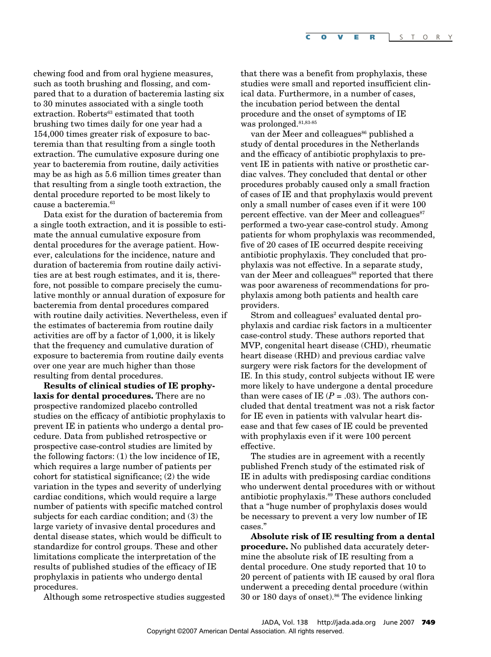chewing food and from oral hygiene measures, such as tooth brushing and flossing, and compared that to a duration of bacteremia lasting six to 30 minutes associated with a single tooth extraction. Roberts<sup>63</sup> estimated that tooth brushing two times daily for one year had a 154,000 times greater risk of exposure to bacteremia than that resulting from a single tooth extraction. The cumulative exposure during one year to bacteremia from routine, daily activities may be as high as 5.6 million times greater than that resulting from a single tooth extraction, the dental procedure reported to be most likely to cause a bacteremia.<sup>63</sup>

Data exist for the duration of bacteremia from a single tooth extraction, and it is possible to estimate the annual cumulative exposure from dental procedures for the average patient. However, calculations for the incidence, nature and duration of bacteremia from routine daily activities are at best rough estimates, and it is, therefore, not possible to compare precisely the cumulative monthly or annual duration of exposure for bacteremia from dental procedures compared with routine daily activities. Nevertheless, even if the estimates of bacteremia from routine daily activities are off by a factor of 1,000, it is likely that the frequency and cumulative duration of exposure to bacteremia from routine daily events over one year are much higher than those resulting from dental procedures.

**Results of clinical studies of IE prophylaxis for dental procedures.** There are no prospective randomized placebo controlled studies on the efficacy of antibiotic prophylaxis to prevent IE in patients who undergo a dental procedure. Data from published retrospective or prospective case-control studies are limited by the following factors: (1) the low incidence of IE, which requires a large number of patients per cohort for statistical significance; (2) the wide variation in the types and severity of underlying cardiac conditions, which would require a large number of patients with specific matched control subjects for each cardiac condition; and (3) the large variety of invasive dental procedures and dental disease states, which would be difficult to standardize for control groups. These and other limitations complicate the interpretation of the results of published studies of the efficacy of IE prophylaxis in patients who undergo dental procedures.

Although some retrospective studies suggested

that there was a benefit from prophylaxis, these studies were small and reported insufficient clinical data. Furthermore, in a number of cases, the incubation period between the dental procedure and the onset of symptoms of IE was prolonged.<sup>81,83-85</sup>

van der Meer and colleagues<sup>86</sup> published a study of dental procedures in the Netherlands and the efficacy of antibiotic prophylaxis to prevent IE in patients with native or prosthetic cardiac valves. They concluded that dental or other procedures probably caused only a small fraction of cases of IE and that prophylaxis would prevent only a small number of cases even if it were 100 percent effective. van der Meer and colleagues $87$ performed a two-year case-control study. Among patients for whom prophylaxis was recommended, five of 20 cases of IE occurred despite receiving antibiotic prophylaxis. They concluded that prophylaxis was not effective. In a separate study, van der Meer and colleagues<sup>88</sup> reported that there was poor awareness of recommendations for prophylaxis among both patients and health care providers.

Strom and colleagues<sup>2</sup> evaluated dental prophylaxis and cardiac risk factors in a multicenter case-control study. These authors reported that MVP, congenital heart disease (CHD), rheumatic heart disease (RHD) and previous cardiac valve surgery were risk factors for the development of IE. In this study, control subjects without IE were more likely to have undergone a dental procedure than were cases of IE  $(P = .03)$ . The authors concluded that dental treatment was not a risk factor for IE even in patients with valvular heart disease and that few cases of IE could be prevented with prophylaxis even if it were 100 percent effective.

The studies are in agreement with a recently published French study of the estimated risk of IE in adults with predisposing cardiac conditions who underwent dental procedures with or without antibiotic prophylaxis.<sup>89</sup> These authors concluded that a "huge number of prophylaxis doses would be necessary to prevent a very low number of IE cases."

**Absolute risk of IE resulting from a dental procedure.** No published data accurately determine the absolute risk of IE resulting from a dental procedure. One study reported that 10 to 20 percent of patients with IE caused by oral flora underwent a preceding dental procedure (within  $30$  or  $180$  days of onset).<sup>86</sup> The evidence linking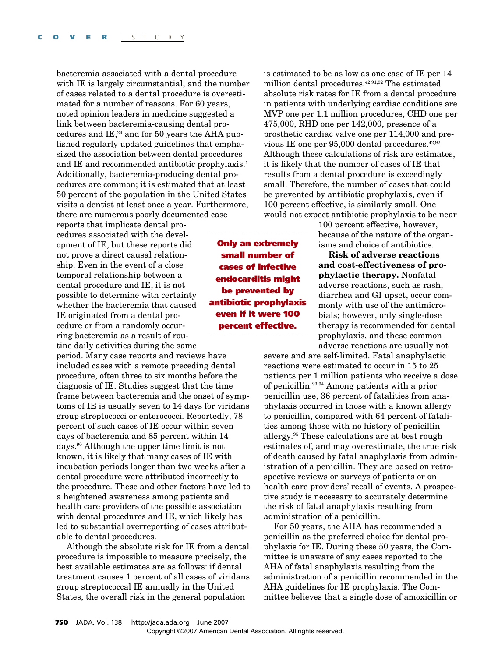bacteremia associated with a dental procedure with IE is largely circumstantial, and the number of cases related to a dental procedure is overestimated for a number of reasons. For 60 years, noted opinion leaders in medicine suggested a link between bacteremia-causing dental procedures and IE, $^{24}$  and for 50 years the AHA published regularly updated guidelines that emphasized the association between dental procedures and IE and recommended antibiotic prophylaxis.<sup>1</sup> Additionally, bacteremia-producing dental procedures are common; it is estimated that at least 50 percent of the population in the United States visits a dentist at least once a year. Furthermore, there are numerous poorly documented case

reports that implicate dental procedures associated with the development of IE, but these reports did not prove a direct causal relationship. Even in the event of a close temporal relationship between a dental procedure and IE, it is not possible to determine with certainty whether the bacteremia that caused IE originated from a dental procedure or from a randomly occurring bacteremia as a result of rou-

tine daily activities during the same period. Many case reports and reviews have included cases with a remote preceding dental procedure, often three to six months before the diagnosis of IE. Studies suggest that the time frame between bacteremia and the onset of symptoms of IE is usually seven to 14 days for viridans group streptococci or enterococci. Reportedly, 78 percent of such cases of IE occur within seven days of bacteremia and 85 percent within 14 days.90 Although the upper time limit is not known, it is likely that many cases of IE with incubation periods longer than two weeks after a dental procedure were attributed incorrectly to the procedure. These and other factors have led to a heightened awareness among patients and health care providers of the possible association with dental procedures and IE, which likely has led to substantial overreporting of cases attributable to dental procedures.

Although the absolute risk for IE from a dental procedure is impossible to measure precisely, the best available estimates are as follows: if dental treatment causes 1 percent of all cases of viridans group streptococcal IE annually in the United States, the overall risk in the general population

is estimated to be as low as one case of IE per 14 million dental procedures. $42,91,92$  The estimated absolute risk rates for IE from a dental procedure in patients with underlying cardiac conditions are MVP one per 1.1 million procedures, CHD one per 475,000, RHD one per 142,000, presence of a prosthetic cardiac valve one per 114,000 and previous IE one per 95,000 dental procedures.<sup>42,92</sup> Although these calculations of risk are estimates, it is likely that the number of cases of IE that results from a dental procedure is exceedingly small. Therefore, the number of cases that could be prevented by antibiotic prophylaxis, even if 100 percent effective, is similarly small. One would not expect antibiotic prophylaxis to be near

> 100 percent effective, however, because of the nature of the organisms and choice of antibiotics.

**Risk of adverse reactions and cost-effectiveness of prophylactic therapy.** Nonfatal adverse reactions, such as rash, diarrhea and GI upset, occur commonly with use of the antimicrobials; however, only single-dose therapy is recommended for dental prophylaxis, and these common adverse reactions are usually not

severe and are self-limited. Fatal anaphylactic reactions were estimated to occur in 15 to 25 patients per 1 million patients who receive a dose of penicillin.93,94 Among patients with a prior penicillin use, 36 percent of fatalities from anaphylaxis occurred in those with a known allergy to penicillin, compared with 64 percent of fatalities among those with no history of penicillin allergy.95 These calculations are at best rough estimates of, and may overestimate, the true risk of death caused by fatal anaphylaxis from administration of a penicillin. They are based on retrospective reviews or surveys of patients or on health care providers' recall of events. A prospective study is necessary to accurately determine the risk of fatal anaphylaxis resulting from administration of a penicillin.

For 50 years, the AHA has recommended a penicillin as the preferred choice for dental prophylaxis for IE. During these 50 years, the Committee is unaware of any cases reported to the AHA of fatal anaphylaxis resulting from the administration of a penicillin recommended in the AHA guidelines for IE prophylaxis. The Committee believes that a single dose of amoxicillin or

**small number of cases of infective endocarditis might be prevented by antibiotic prophylaxis even if it were 100 percent effective.** 

**Only an extremely**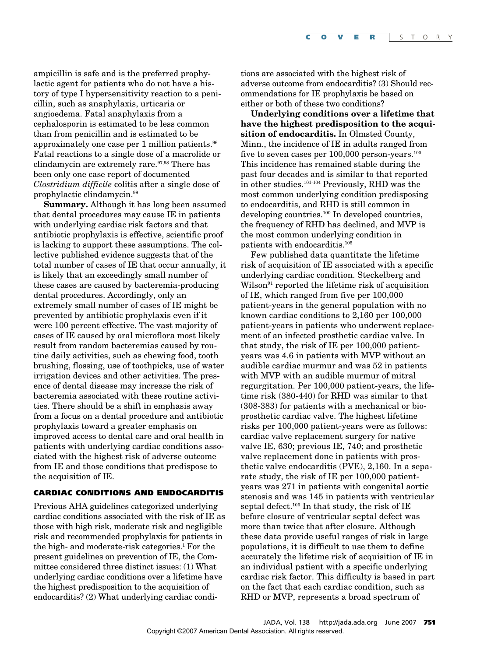ampicillin is safe and is the preferred prophylactic agent for patients who do not have a history of type I hypersensitivity reaction to a penicillin, such as anaphylaxis, urticaria or angioedema. Fatal anaphylaxis from a cephalosporin is estimated to be less common than from penicillin and is estimated to be approximately one case per 1 million patients. $96$ Fatal reactions to a single dose of a macrolide or clindamycin are extremely rare.<sup>97,98</sup> There has been only one case report of documented *Clostridium difficile* colitis after a single dose of prophylactic clindamycin.99

**Summary.** Although it has long been assumed that dental procedures may cause IE in patients with underlying cardiac risk factors and that antibiotic prophylaxis is effective, scientific proof is lacking to support these assumptions. The collective published evidence suggests that of the total number of cases of IE that occur annually, it is likely that an exceedingly small number of these cases are caused by bacteremia-producing dental procedures. Accordingly, only an extremely small number of cases of IE might be prevented by antibiotic prophylaxis even if it were 100 percent effective. The vast majority of cases of IE caused by oral microflora most likely result from random bacteremias caused by routine daily activities, such as chewing food, tooth brushing, flossing, use of toothpicks, use of water irrigation devices and other activities. The presence of dental disease may increase the risk of bacteremia associated with these routine activities. There should be a shift in emphasis away from a focus on a dental procedure and antibiotic prophylaxis toward a greater emphasis on improved access to dental care and oral health in patients with underlying cardiac conditions associated with the highest risk of adverse outcome from IE and those conditions that predispose to the acquisition of IE.

### **CARDIAC CONDITIONS AND ENDOCARDITIS**

Previous AHA guidelines categorized underlying cardiac conditions associated with the risk of IE as those with high risk, moderate risk and negligible risk and recommended prophylaxis for patients in the high- and moderate-risk categories.<sup>1</sup> For the present guidelines on prevention of IE, the Committee considered three distinct issues: (1) What underlying cardiac conditions over a lifetime have the highest predisposition to the acquisition of endocarditis? (2) What underlying cardiac conditions are associated with the highest risk of adverse outcome from endocarditis? (3) Should recommendations for IE prophylaxis be based on either or both of these two conditions?

**Underlying conditions over a lifetime that have the highest predisposition to the acquisition of endocarditis.** In Olmsted County, Minn., the incidence of IE in adults ranged from five to seven cases per  $100,000$  person-years.<sup>100</sup> This incidence has remained stable during the past four decades and is similar to that reported in other studies.101-104 Previously, RHD was the most common underlying condition predisposing to endocarditis, and RHD is still common in developing countries.<sup>100</sup> In developed countries, the frequency of RHD has declined, and MVP is the most common underlying condition in patients with endocarditis.105

Few published data quantitate the lifetime risk of acquisition of IE associated with a specific underlying cardiac condition. Steckelberg and  $Wilson<sup>91</sup>$  reported the lifetime risk of acquisition of IE, which ranged from five per 100,000 patient-years in the general population with no known cardiac conditions to 2,160 per 100,000 patient-years in patients who underwent replacement of an infected prosthetic cardiac valve. In that study, the risk of IE per 100,000 patientyears was 4.6 in patients with MVP without an audible cardiac murmur and was 52 in patients with MVP with an audible murmur of mitral regurgitation. Per 100,000 patient-years, the lifetime risk (380-440) for RHD was similar to that (308-383) for patients with a mechanical or bioprosthetic cardiac valve. The highest lifetime risks per 100,000 patient-years were as follows: cardiac valve replacement surgery for native valve IE, 630; previous IE, 740; and prosthetic valve replacement done in patients with prosthetic valve endocarditis (PVE), 2,160. In a separate study, the risk of IE per 100,000 patientyears was 271 in patients with congenital aortic stenosis and was 145 in patients with ventricular septal defect.<sup>106</sup> In that study, the risk of IE before closure of ventricular septal defect was more than twice that after closure. Although these data provide useful ranges of risk in large populations, it is difficult to use them to define accurately the lifetime risk of acquisition of IE in an individual patient with a specific underlying cardiac risk factor. This difficulty is based in part on the fact that each cardiac condition, such as RHD or MVP, represents a broad spectrum of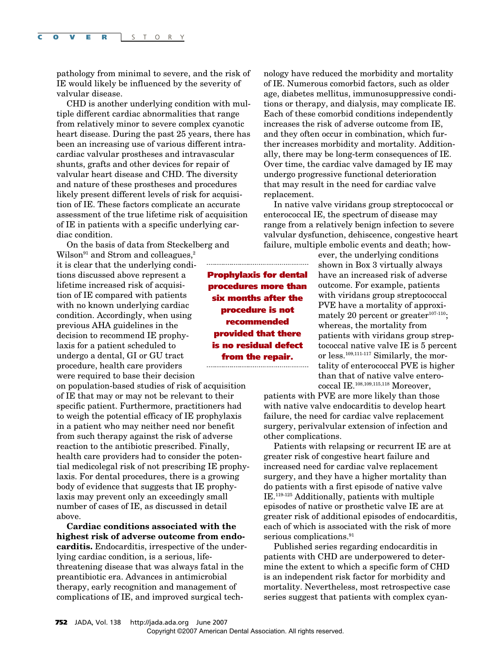pathology from minimal to severe, and the risk of IE would likely be influenced by the severity of valvular disease.

CHD is another underlying condition with multiple different cardiac abnormalities that range from relatively minor to severe complex cyanotic heart disease. During the past 25 years, there has been an increasing use of various different intracardiac valvular prostheses and intravascular shunts, grafts and other devices for repair of valvular heart disease and CHD. The diversity and nature of these prostheses and procedures likely present different levels of risk for acquisition of IE. These factors complicate an accurate assessment of the true lifetime risk of acquisition of IE in patients with a specific underlying cardiac condition.

On the basis of data from Steckelberg and

Wilson<sup>91</sup> and Strom and colleagues, $2$ it is clear that the underlying conditions discussed above represent a lifetime increased risk of acquisition of IE compared with patients with no known underlying cardiac condition. Accordingly, when using previous AHA guidelines in the decision to recommend IE prophylaxis for a patient scheduled to undergo a dental, GI or GU tract procedure, health care providers were required to base their decision

on population-based studies of risk of acquisition of IE that may or may not be relevant to their specific patient. Furthermore, practitioners had to weigh the potential efficacy of IE prophylaxis in a patient who may neither need nor benefit from such therapy against the risk of adverse reaction to the antibiotic prescribed. Finally, health care providers had to consider the potential medicolegal risk of not prescribing IE prophylaxis. For dental procedures, there is a growing body of evidence that suggests that IE prophylaxis may prevent only an exceedingly small number of cases of IE, as discussed in detail above.

**Cardiac conditions associated with the highest risk of adverse outcome from endocarditis.** Endocarditis, irrespective of the underlying cardiac condition, is a serious, lifethreatening disease that was always fatal in the preantibiotic era. Advances in antimicrobial therapy, early recognition and management of complications of IE, and improved surgical technology have reduced the morbidity and mortality of IE. Numerous comorbid factors, such as older age, diabetes mellitus, immunosuppressive conditions or therapy, and dialysis, may complicate IE. Each of these comorbid conditions independently increases the risk of adverse outcome from IE, and they often occur in combination, which further increases morbidity and mortality. Additionally, there may be long-term consequences of IE. Over time, the cardiac valve damaged by IE may undergo progressive functional deterioration that may result in the need for cardiac valve replacement.

In native valve viridans group streptococcal or enterococcal IE, the spectrum of disease may range from a relatively benign infection to severe valvular dysfunction, dehiscence, congestive heart failure, multiple embolic events and death; how-

> ever, the underlying conditions shown in Box 3 virtually always have an increased risk of adverse outcome. For example, patients with viridans group streptococcal PVE have a mortality of approximately 20 percent or greater $107-110$ ; whereas, the mortality from patients with viridans group streptococcal native valve IE is 5 percent or less.109,111-117 Similarly, the mortality of enterococcal PVE is higher than that of native valve enterococcal IE.<sup>108,109,115,118</sup> Moreover.

patients with PVE are more likely than those with native valve endocarditis to develop heart failure, the need for cardiac valve replacement surgery, perivalvular extension of infection and other complications.

Patients with relapsing or recurrent IE are at greater risk of congestive heart failure and increased need for cardiac valve replacement surgery, and they have a higher mortality than do patients with a first episode of native valve IE.119-125 Additionally, patients with multiple episodes of native or prosthetic valve IE are at greater risk of additional episodes of endocarditis, each of which is associated with the risk of more serious complications.<sup>91</sup>

Published series regarding endocarditis in patients with CHD are underpowered to determine the extent to which a specific form of CHD is an independent risk factor for morbidity and mortality. Nevertheless, most retrospective case series suggest that patients with complex cyan-

**Prophylaxis for dental procedures more than six months after the procedure is not recommended provided that there is no residual defect from the repair.**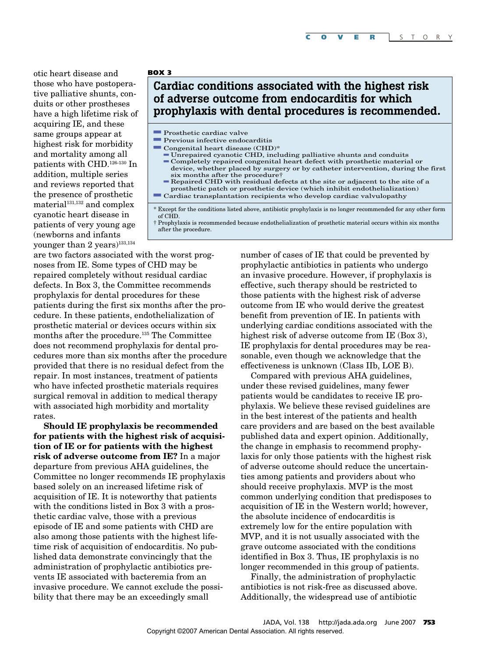otic heart disease and those who have postoperative palliative shunts, conduits or other prostheses have a high lifetime risk of acquiring IE, and these same groups appear at highest risk for morbidity and mortality among all patients with CHD.126-130 In addition, multiple series and reviews reported that the presence of prosthetic material<sup>131,132</sup> and complex cyanotic heart disease in patients of very young age (newborns and infants younger than 2 years)<sup>133,134</sup>

### **BOX 3**

# **Cardiac conditions associated with the highest risk of adverse outcome from endocarditis for which prophylaxis with dental procedures is recommended.**

- $\blacksquare$  Prosthetic cardiac valve
- **Previous infective endocarditis**
- Congenital heart disease  $(CHD)^*$
- Unrepaired cyanotic CHD, including palliative shunts and conduits  $\blacksquare$  Completely repaired congenital heart defect with prosthetic material or device, whether placed by surgery or by catheter intervention, during the first six months after the procedure†
- $\blacksquare$  Repaired CHD with residual defects at the site or adjacent to the site of a prosthetic patch or prosthetic device (which inhibit endothelialization)  $\blacksquare$  Cardiac transplantation recipients who develop cardiac valvulopathy

\* Except for the conditions listed above, antibiotic prophylaxis is no longer recommended for any other form of CHD.

† Prophylaxis is recommended because endothelialization of prosthetic material occurs within six months after the procedure.

are two factors associated with the worst prognoses from IE. Some types of CHD may be repaired completely without residual cardiac defects. In Box 3, the Committee recommends prophylaxis for dental procedures for these patients during the first six months after the procedure. In these patients, endothelialization of prosthetic material or devices occurs within six months after the procedure.<sup>135</sup> The Committee does not recommend prophylaxis for dental procedures more than six months after the procedure provided that there is no residual defect from the repair. In most instances, treatment of patients who have infected prosthetic materials requires surgical removal in addition to medical therapy with associated high morbidity and mortality rates.

**Should IE prophylaxis be recommended for patients with the highest risk of acquisition of IE or for patients with the highest risk of adverse outcome from IE?** In a major departure from previous AHA guidelines, the Committee no longer recommends IE prophylaxis based solely on an increased lifetime risk of acquisition of IE. It is noteworthy that patients with the conditions listed in Box 3 with a prosthetic cardiac valve, those with a previous episode of IE and some patients with CHD are also among those patients with the highest lifetime risk of acquisition of endocarditis. No published data demonstrate convincingly that the administration of prophylactic antibiotics prevents IE associated with bacteremia from an invasive procedure. We cannot exclude the possibility that there may be an exceedingly small

number of cases of IE that could be prevented by prophylactic antibiotics in patients who undergo an invasive procedure. However, if prophylaxis is effective, such therapy should be restricted to those patients with the highest risk of adverse outcome from IE who would derive the greatest benefit from prevention of IE. In patients with underlying cardiac conditions associated with the highest risk of adverse outcome from IE (Box 3), IE prophylaxis for dental procedures may be reasonable, even though we acknowledge that the effectiveness is unknown (Class IIb, LOE B).

Compared with previous AHA guidelines, under these revised guidelines, many fewer patients would be candidates to receive IE prophylaxis. We believe these revised guidelines are in the best interest of the patients and health care providers and are based on the best available published data and expert opinion. Additionally, the change in emphasis to recommend prophylaxis for only those patients with the highest risk of adverse outcome should reduce the uncertainties among patients and providers about who should receive prophylaxis. MVP is the most common underlying condition that predisposes to acquisition of IE in the Western world; however, the absolute incidence of endocarditis is extremely low for the entire population with MVP, and it is not usually associated with the grave outcome associated with the conditions identified in Box 3. Thus, IE prophylaxis is no longer recommended in this group of patients.

Finally, the administration of prophylactic antibiotics is not risk-free as discussed above. Additionally, the widespread use of antibiotic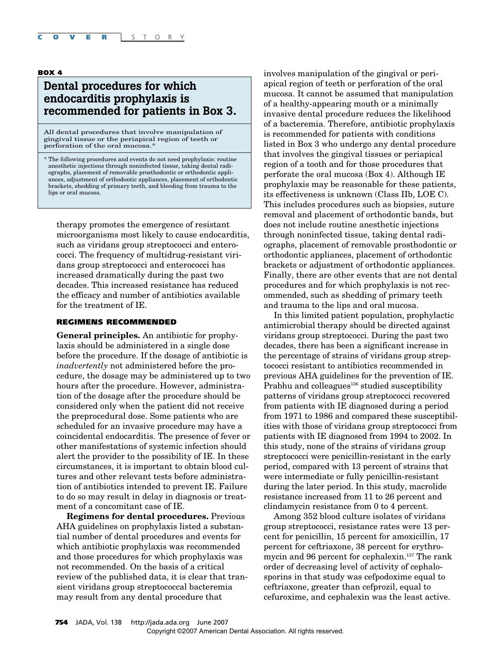### **BOX 4**

# **Dental procedures for which endocarditis prophylaxis is recommended for patients in Box 3.**

All dental procedures that involve manipulation of gingival tissue or the periapical region of teeth or perforation of the oral mucosa.\*

\* The following procedures and events do not need prophylaxis: routine anesthetic injections through noninfected tissue, taking dental radiographs, placement of removable prosthodontic or orthodontic appliances, adjustment of orthodontic appliances, placement of orthodontic brackets, shedding of primary teeth, and bleeding from trauma to the lips or oral mucosa.

therapy promotes the emergence of resistant microorganisms most likely to cause endocarditis, such as viridans group streptococci and enterococci. The frequency of multidrug-resistant viridans group streptococci and enterococci has increased dramatically during the past two decades. This increased resistance has reduced the efficacy and number of antibiotics available for the treatment of IE.

### **REGIMENS RECOMMENDED**

**General principles.** An antibiotic for prophylaxis should be administered in a single dose before the procedure. If the dosage of antibiotic is *inadvertently* not administered before the procedure, the dosage may be administered up to two hours after the procedure. However, administration of the dosage after the procedure should be considered only when the patient did not receive the preprocedural dose. Some patients who are scheduled for an invasive procedure may have a coincidental endocarditis. The presence of fever or other manifestations of systemic infection should alert the provider to the possibility of IE. In these circumstances, it is important to obtain blood cultures and other relevant tests before administration of antibiotics intended to prevent IE. Failure to do so may result in delay in diagnosis or treatment of a concomitant case of IE.

**Regimens for dental procedures.** Previous AHA guidelines on prophylaxis listed a substantial number of dental procedures and events for which antibiotic prophylaxis was recommended and those procedures for which prophylaxis was not recommended. On the basis of a critical review of the published data, it is clear that transient viridans group streptococcal bacteremia may result from any dental procedure that

involves manipulation of the gingival or periapical region of teeth or perforation of the oral mucosa. It cannot be assumed that manipulation of a healthy-appearing mouth or a minimally invasive dental procedure reduces the likelihood of a bacteremia. Therefore, antibiotic prophylaxis is recommended for patients with conditions listed in Box 3 who undergo any dental procedure that involves the gingival tissues or periapical region of a tooth and for those procedures that perforate the oral mucosa (Box 4). Although IE prophylaxis may be reasonable for these patients, its effectiveness is unknown (Class IIb, LOE C). This includes procedures such as biopsies, suture removal and placement of orthodontic bands, but does not include routine anesthetic injections through noninfected tissue, taking dental radiographs, placement of removable prosthodontic or orthodontic appliances, placement of orthodontic brackets or adjustment of orthodontic appliances. Finally, there are other events that are not dental procedures and for which prophylaxis is not recommended, such as shedding of primary teeth and trauma to the lips and oral mucosa.

In this limited patient population, prophylactic antimicrobial therapy should be directed against viridans group streptococci. During the past two decades, there has been a significant increase in the percentage of strains of viridans group streptococci resistant to antibiotics recommended in previous AHA guidelines for the prevention of IE. Prabhu and colleagues<sup>136</sup> studied susceptibility patterns of viridans group streptococci recovered from patients with IE diagnosed during a period from 1971 to 1986 and compared these susceptibilities with those of viridans group streptococci from patients with IE diagnosed from 1994 to 2002. In this study, none of the strains of viridans group streptococci were penicillin-resistant in the early period, compared with 13 percent of strains that were intermediate or fully penicillin-resistant during the later period. In this study, macrolide resistance increased from 11 to 26 percent and clindamycin resistance from 0 to 4 percent.

Among 352 blood culture isolates of viridans group streptococci, resistance rates were 13 percent for penicillin, 15 percent for amoxicillin, 17 percent for ceftriaxone, 38 percent for erythromycin and 96 percent for cephalexin.<sup>137</sup> The rank order of decreasing level of activity of cephalosporins in that study was cefpodoxime equal to ceftriaxone, greater than cefprozil, equal to cefuroxime, and cephalexin was the least active.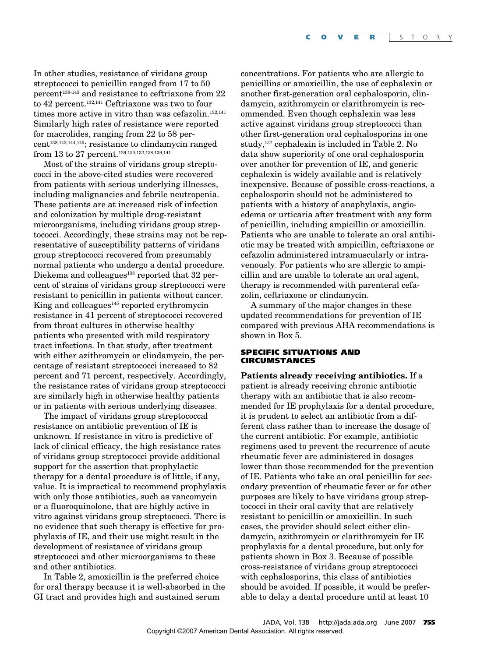In other studies, resistance of viridans group streptococci to penicillin ranged from 17 to 50 percent<sup>138-143</sup> and resistance to ceftriaxone from 22 to 42 percent.<sup>132,141</sup> Ceftriaxone was two to four times more active in vitro than was cefazolin.<sup>132,141</sup> Similarly high rates of resistance were reported for macrolides, ranging from 22 to 58 percent138,142,144,145; resistance to clindamycin ranged from 13 to 27 percent.<sup>129,130,132,138,139,141</sup>

Most of the strains of viridans group streptococci in the above-cited studies were recovered from patients with serious underlying illnesses, including malignancies and febrile neutropenia. These patients are at increased risk of infection and colonization by multiple drug-resistant microorganisms, including viridans group streptococci. Accordingly, these strains may not be representative of susceptibility patterns of viridans group streptococci recovered from presumably normal patients who undergo a dental procedure. Diekema and colleagues $^{138}$  reported that 32 percent of strains of viridans group streptococci were resistant to penicillin in patients without cancer. King and colleagues $145$  reported erythromycin resistance in 41 percent of streptococci recovered from throat cultures in otherwise healthy patients who presented with mild respiratory tract infections. In that study, after treatment with either azithromycin or clindamycin, the percentage of resistant streptococci increased to 82 percent and 71 percent, respectively. Accordingly, the resistance rates of viridans group streptococci are similarly high in otherwise healthy patients or in patients with serious underlying diseases.

The impact of viridans group streptococcal resistance on antibiotic prevention of IE is unknown. If resistance in vitro is predictive of lack of clinical efficacy, the high resistance rates of viridans group streptococci provide additional support for the assertion that prophylactic therapy for a dental procedure is of little, if any, value. It is impractical to recommend prophylaxis with only those antibiotics, such as vancomycin or a fluoroquinolone, that are highly active in vitro against viridans group streptococci. There is no evidence that such therapy is effective for prophylaxis of IE, and their use might result in the development of resistance of viridans group streptococci and other microorganisms to these and other antibiotics.

In Table 2, amoxicillin is the preferred choice for oral therapy because it is well-absorbed in the GI tract and provides high and sustained serum

concentrations. For patients who are allergic to penicillins or amoxicillin, the use of cephalexin or another first-generation oral cephalosporin, clindamycin, azithromycin or clarithromycin is recommended. Even though cephalexin was less active against viridans group streptococci than other first-generation oral cephalosporins in one study,137 cephalexin is included in Table 2. No data show superiority of one oral cephalosporin over another for prevention of IE, and generic cephalexin is widely available and is relatively inexpensive. Because of possible cross-reactions, a cephalosporin should not be administered to patients with a history of anaphylaxis, angioedema or urticaria after treatment with any form of penicillin, including ampicillin or amoxicillin. Patients who are unable to tolerate an oral antibiotic may be treated with ampicillin, ceftriaxone or cefazolin administered intramuscularly or intravenously. For patients who are allergic to ampicillin and are unable to tolerate an oral agent, therapy is recommended with parenteral cefazolin, ceftriaxone or clindamycin.

A summary of the major changes in these updated recommendations for prevention of IE compared with previous AHA recommendations is shown in Box 5.

### **SPECIFIC SITUATIONS AND CIRCUMSTANCES**

**Patients already receiving antibiotics.** If a patient is already receiving chronic antibiotic therapy with an antibiotic that is also recommended for IE prophylaxis for a dental procedure, it is prudent to select an antibiotic from a different class rather than to increase the dosage of the current antibiotic. For example, antibiotic regimens used to prevent the recurrence of acute rheumatic fever are administered in dosages lower than those recommended for the prevention of IE. Patients who take an oral penicillin for secondary prevention of rheumatic fever or for other purposes are likely to have viridans group streptococci in their oral cavity that are relatively resistant to penicillin or amoxicillin. In such cases, the provider should select either clindamycin, azithromycin or clarithromycin for IE prophylaxis for a dental procedure, but only for patients shown in Box 3. Because of possible cross-resistance of viridans group streptococci with cephalosporins, this class of antibiotics should be avoided. If possible, it would be preferable to delay a dental procedure until at least 10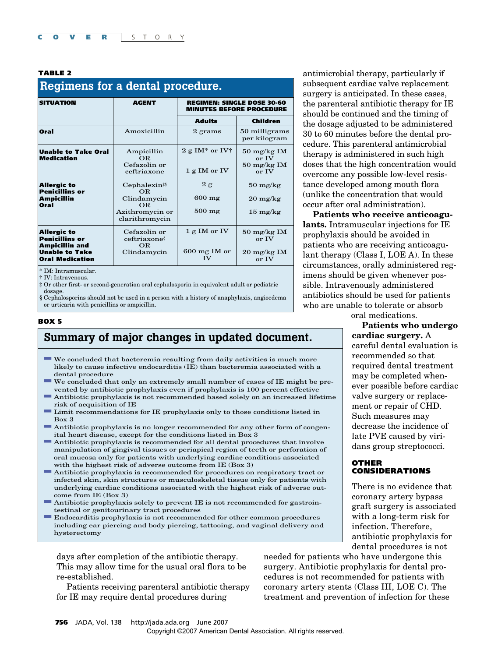#### **TABLE 2**

| Regimens for a dental procedure.                                         |                                              |                                                                      |                                |  |  |
|--------------------------------------------------------------------------|----------------------------------------------|----------------------------------------------------------------------|--------------------------------|--|--|
| <b>SITUATION</b>                                                         | <b>AGENT</b>                                 | <b>REGIMEN: SINGLE DOSE 30-60</b><br><b>MINUTES BEFORE PROCEDURE</b> |                                |  |  |
|                                                                          |                                              | <b>Adults</b>                                                        | Children                       |  |  |
| Oral                                                                     | Amoxicillin                                  | 2 grams                                                              | 50 milligrams<br>per kilogram  |  |  |
| Unable to Take Oral<br><b>Medication</b>                                 | Ampicillin<br>OR.                            | $2 g \text{ IM}^* \text{ or } \text{IV}^+$                           | $50 \text{ mg/kg}$ IM<br>or IV |  |  |
|                                                                          | Cefazolin or<br>ceftriaxone                  | $1 g$ IM or IV                                                       | $50 \text{ mg/kg}$ IM<br>or IV |  |  |
| <b>Allergic to</b><br><b>Penicillins or</b>                              | Cephalexin <sup>§</sup><br>OR.               | 2g                                                                   | $50 \text{ mg/kg}$             |  |  |
| Ampicillin<br>Oral                                                       | Clindamycin<br>OR.                           | $600 \text{ mg}$                                                     | $20 \text{ mg/kg}$             |  |  |
|                                                                          | Azithromycin or<br>clarithromycin            | $500 \text{ mg}$                                                     | $15 \text{ mg/kg}$             |  |  |
| <b>Allergic to</b><br><b>Penicillins or</b>                              | Cefazolin or<br>$c$ eftriaxone $\frac{8}{3}$ | $1 g$ IM or IV                                                       | $50 \text{ mg/kg}$ IM<br>or IV |  |  |
| <b>Ampicillin and</b><br><b>Unable to Take</b><br><b>Oral Medication</b> | <b>OR</b><br>Clindamycin                     | $600 \text{ mg}$ IM or<br>TV                                         | $20 \text{ mg/kg}$ IM<br>or IV |  |  |

\* IM: Intramuscular.

† IV: Intravenous.

‡ Or other first- or second-generation oral cephalosporin in equivalent adult or pediatric dosage.

§ Cephalosporins should not be used in a person with a history of anaphylaxis, angioedema or urticaria with penicillins or ampicillin.

### **BOX 5**

# **Summary of major changes in updated document.**

- $\blacksquare$  We concluded that bacteremia resulting from daily activities is much more likely to cause infective endocarditis (IE) than bacteremia associated with a dental procedure
- dWe concluded that only an extremely small number of cases of IE might be prevented by antibiotic prophylaxis even if prophylaxis is 100 percent effective
- $\blacksquare$  Antibiotic prophylaxis is not recommended based solely on an increased lifetime risk of acquisition of IE
- If Limit recommendations for IE prophylaxis only to those conditions listed in Box 3
- $\blacksquare$  Antibiotic prophylaxis is no longer recommended for any other form of congenital heart disease, except for the conditions listed in Box 3
- $\blacksquare$  Antibiotic prophylaxis is recommended for all dental procedures that involve manipulation of gingival tissues or periapical region of teeth or perforation of oral mucosa only for patients with underlying cardiac conditions associated with the highest risk of adverse outcome from IE (Box 3)
- dAntibiotic prophylaxis is recommended for procedures on respiratory tract or infected skin, skin structures or musculoskeletal tissue only for patients with underlying cardiac conditions associated with the highest risk of adverse outcome from IE (Box 3)
- $\blacksquare$  Antibiotic prophylaxis solely to prevent IE is not recommended for gastrointestinal or genitourinary tract procedures
- dEndocarditis prophylaxis is not recommended for other common procedures including ear piercing and body piercing, tattooing, and vaginal delivery and hysterectomy

days after completion of the antibiotic therapy. This may allow time for the usual oral flora to be re-established.

Patients receiving parenteral antibiotic therapy for IE may require dental procedures during

antimicrobial therapy, particularly if subsequent cardiac valve replacement surgery is anticipated. In these cases, the parenteral antibiotic therapy for IE should be continued and the timing of the dosage adjusted to be administered 30 to 60 minutes before the dental procedure. This parenteral antimicrobial therapy is administered in such high doses that the high concentration would overcome any possible low-level resistance developed among mouth flora (unlike the concentration that would occur after oral administration).

**Patients who receive anticoagulants.** Intramuscular injections for IE prophylaxis should be avoided in patients who are receiving anticoagulant therapy (Class I, LOE A). In these circumstances, orally administered regimens should be given whenever possible. Intravenously administered antibiotics should be used for patients who are unable to tolerate or absorb oral medications.

> **Patients who undergo cardiac surgery.** A careful dental evaluation is recommended so that required dental treatment may be completed whenever possible before cardiac valve surgery or replacement or repair of CHD. Such measures may decrease the incidence of late PVE caused by viridans group streptococci.

### **OTHER CONSIDERATIONS**

There is no evidence that coronary artery bypass graft surgery is associated with a long-term risk for infection. Therefore, antibiotic prophylaxis for dental procedures is not

needed for patients who have undergone this surgery. Antibiotic prophylaxis for dental procedures is not recommended for patients with coronary artery stents (Class III, LOE C). The treatment and prevention of infection for these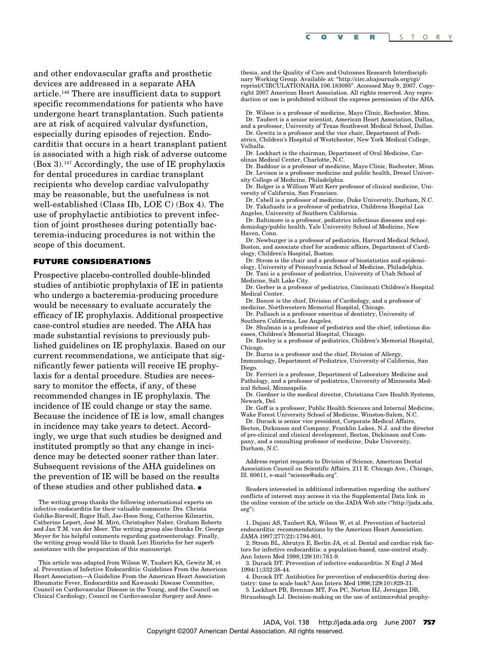and other endovascular grafts and prosthetic devices are addressed in a separate AHA article.146 There are insufficient data to support specific recommendations for patients who have undergone heart transplantation. Such patients are at risk of acquired valvular dysfunction, especially during episodes of rejection. Endocarditis that occurs in a heart transplant patient is associated with a high risk of adverse outcome (Box 3).147 Accordingly, the use of IE prophylaxis for dental procedures in cardiac transplant recipients who develop cardiac valvulopathy may be reasonable, but the usefulness is not well-established (Class IIb, LOE C) (Box 4). The use of prophylactic antibiotics to prevent infection of joint prostheses during potentially bacteremia-inducing procedures is not within the scope of this document.

### **FUTURE CONSIDERATIONS**

Prospective placebo-controlled double-blinded studies of antibiotic prophylaxis of IE in patients who undergo a bacteremia-producing procedure would be necessary to evaluate accurately the efficacy of IE prophylaxis. Additional prospective case-control studies are needed. The AHA has made substantial revisions to previously published guidelines on IE prophylaxis. Based on our current recommendations, we anticipate that significantly fewer patients will receive IE prophylaxis for a dental procedure. Studies are necessary to monitor the effects, if any, of these recommended changes in IE prophylaxis. The incidence of IE could change or stay the same. Because the incidence of IE is low, small changes in incidence may take years to detect. Accordingly, we urge that such studies be designed and instituted promptly so that any change in incidence may be detected sooner rather than later. Subsequent revisions of the AHA guidelines on the prevention of IE will be based on the results of these studies and other published data. ■

thesia, and the Quality of Care and Outcomes Research Interdisciplinary Working Group. Available at: "http://circ.ahajournals.org/cgi/ reprint/CIRCULATIONAHA.106.183095". Accessed May 9, 2007. Copyright 2007 American Heart Association. All rights reserved. Any reproduction or use is prohibited without the express permission of the AHA.

Dr. Wilson is a professor of medicine, Mayo Clinic, Rochester, Minn. Dr. Taubert is a senior scientist, American Heart Association, Dallas, and a professor, University of Texas Southwest Medical School, Dallas.

Dr. Gewitz is a professor and the vice chair, Department of Pediatrics, Children's Hospital of Westchester, New York Medical College, Valhalla.

Dr. Lockhart is the chairman, Department of Oral Medicine, Carolinas Medical Center, Charlotte, N.C.

Dr. Baddour is a professor of medicine, Mayo Clinic, Rochester, Minn. Dr. Levison is a professor medicine and public health, Drexel University College of Medicine, Philadelphia.

Dr. Bolger is a William Watt Kerr professor of clinical medicine, University of California, San Francisco.

Dr. Cabell is a professor of medicine, Duke University, Durham, N.C. Dr. Takahashi is a professor of pediatrics, Childrens Hospital Los Angeles, University of Southern California.

Dr. Baltimore is a professor, pediatrics infectious diseases and epidemiology/public health, Yale University School of Medicine, New Haven, Conn.

Dr. Newburger is a professor of pediatrics, Harvard Medical School, Boston, and associate chief for academic affairs, Department of Cardiology, Children's Hospital, Boston.

Dr. Strom is the chair and a professor of biostatistics and epidemiology, University of Pennsylvania School of Medicine, Philadelphia. Dr. Tani is a professor of pediatrics, University of Utah School of

Medicine, Salt Lake City.

Dr. Gerber is a professor of pediatrics, Cincinnati Children's Hospital Medical Center.

Dr. Bonow is the chief, Division of Cardiology, and a professor of medicine, Northwestern Memorial Hospital, Chicago.

Dr. Pallasch is a professor emeritus of dentistry, University of Southern California, Los Angeles.

Dr. Shulman is a professor of pediatrics and the chief, infectious diseases, Children's Memorial Hospital, Chicago.

Dr. Rowley is a professor of pediatrics, Children's Memorial Hospital, Chicago.

Dr. Burns is a professor and the chief, Division of Allergy, Immunology, Department of Pediatrics, University of California, San Diego.

Dr. Ferrieri is a professor, Department of Laboratory Medicine and Pathology, and a professor of pediatrics, University of Minnesota Medical School, Minneapolis.

Dr. Gardner is the medical director, Christiana Care Health Systems, Newark, Del.

Dr. Goff is a professor, Public Health Sciences and Internal Medicine, Wake Forest University School of Medicine, Winston-Salem, N.C.

Dr. Durack is senior vice president, Corporate Medical Affairs, Becton, Dickinson and Company, Franklin Lakes, N.J. and the director of pre-clinical and clinical development, Becton, Dickinson and Company, and a consulting professor of medicine, Duke University, Durham, N.C.

Address reprint requests to Division of Science, American Dental Association Council on Scientific Affairs, 211 E. Chicago Ave., Chicago, Ill. 60611, e-mail "science@ada.org".

Readers interested in additional information regarding the authors' conflicts of interest may access it via the Supplemental Data link in the online version of the article on the JADA Web site ("http://jada.ada. org").

1. Dajani AS, Taubert KA, Wilson W, et al. Prevention of bacterial endocarditis: recommendations by the American Heart Association. JAMA 1997;277(22):1794-801.

2. Strom BL, Abrutyn E, Berlin JA, et al. Dental and cardiac risk factors for infective endocarditis: a population-based, case-control study. Ann Intern Med 1998;129(10):761-9.

3. Durack DT. Prevention of infective endocarditis. N Engl J Med 1994(1);332:38-44.

4. Durack DT. Antibiotics for prevention of endocarditis during dentistry: time to scale back? Ann Intern Med 1998;129(10):829-31. 5. Lockhart PB, Brennan MT, Fox PC, Norton HJ, Jernigan DB,

Strausbaugh LJ. Decision-making on the use of antimicrobial prophy-

The writing group thanks the following international experts on infective endocarditis for their valuable comments: Drs. Christa Gohlke-Bärwolf, Roger Hall, Jae-Hoon Song, Catherine Kilmartin, Catherine Leport, José M. Miró, Christopher Naber, Graham Roberts and Jan T.M. van der Meer. The writing group also thanks Dr. George Meyer for his helpful comments regarding gastroenterology. Finally, the writing group would like to thank Lori Hinrichs for her superb assistance with the preparation of this manuscript.

This article was adapted from Wilson W, Taubert KA, Gewitz M, et al. Prevention of Infective Endocarditis: Guidelines From the American Heart Association—A Guideline From the American Heart Association Rheumatic Fever, Endocarditis and Kawasaki Disease Committee, Council on Cardiovascular Disease in the Young, and the Council on Clinical Cardiology, Council on Cardiovascular Surgery and Anes-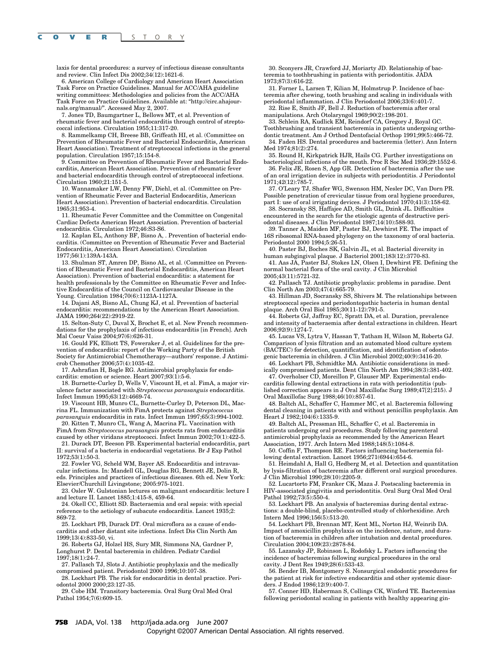laxis for dental procedures: a survey of infectious disease consultants and review. Clin Infect Dis 2002;34(12):1621-6.

6. American College of Cardiology and American Heart Association Task Force on Practice Guidelines. Manual for ACC/AHA guideline

writing committees: Methodologies and policies from the ACC/AHA Task Force on Practice Guidelines. Available at: "http://circ.ahajournals.org/manual/". Accessed May 2, 2007.

7. Jones TD, Baumgartner L, Bellows MT, et al. Prevention of rheumatic fever and bacterial endocarditis through control of streptococcal infections. Circulation 1955;11:317-20.

8. Rammelkamp CH, Breese BB, Griffeath HI, et al. (Committee on Prevention of Rheumatic Fever and Bacterial Endocarditis, American Heart Association). Treatment of streptococcal infections in the general population. Circulation 1957;15:154-8.

9. Committee on Prevention of Rheumatic Fever and Bacterial Endocarditis, American Heart Association. Prevention of rheumatic fever and bacterial endocarditis through control of streptococcal infections. Circulation 1960;21:151-5.

10. Wannamaker LW, Denny FW, Diehl, et al. (Committee on Prevention of Rheumatic Fever and Bacterial Endocarditis, American Heart Association). Prevention of bacterial endocarditis. Circulation 1965;31:953-4.

11. Rheumatic Fever Committee and the Committee on Congenital Cardiac Defects American Heart Association. Prevention of bacterial endocarditis. Circulation 1972;46:S3-S6.

12. Kaplan EL, Anthony BF, Bisno A, . Prevention of bacterial endocarditis. (Committee on Prevention of Rheumatic Fever and Bacterial Endocarditis, American Heart Association). Circulation 1977;56(1):139A-143A.

13. Shulman ST, Amren DP, Bisno AL, et al. (Committee on Prevention of Rheumatic Fever and Bacterial Endocarditis, American Heart Association). Prevention of bacterial endocarditis: a statement for health professionals by the Committee on Rheumatic Fever and Infective Endocarditis of the Council on Cardiovascular Disease in the Young. Circulation 1984;70(6):1123A-1127A.

14. Dajani AS, Bisno AL, Chung KJ, et al. Prevention of bacterial endocarditis: recommendations by the American Heart Association. JAMA 1990;264(22):2919-22.

15. Selton-Suty C, Duval X, Brochet E, et al. New French recommendations for the prophylaxis of infectious endocarditis [in French]. Arch Mal Coeur Vaiss 2004;97(6):626-31.

16. Gould FK, Elliott TS, Foweraker J, et al. Guidelines for the prevention of endocarditis: report of the Working Party of the British Society for Antimicrobial Chemotherapy—authors' response. J Antimicrob Chemother 2006;57(4):1035-42.

17. Ashrafian H, Bogle RG. Antimicrobial prophylaxis for endocarditis: emotion or science. Heart 2007;93(1):5-6.

18. Burnette-Curley D, Wells V, Viscount H, et al. FimA, a major virulence factor associated with *Streptococcus parasanguis* endocarditis. Infect Immun 1995;63(12):4669-74.

19. Viscount HB, Munro CL, Burnette-Curley D, Peterson DL, Macrina FL. Immunization with FimA protects against *Streptococcus parasanguis* endocarditis in rats. Infect Immun 1997;65(3):994-1002.

20. Kitten T, Munro CL, Wang A, Macrina FL. Vaccination with FimA from *Streptococcus parasanguis* protects rats from endocarditis

caused by other viridans streptococci. Infect Immun 2002;70(1):422-5. 21. Durack DT, Beeson PB. Experimental bacterial endocarditis, part

II: survival of a bacteria in endocardial vegetations. Br J Exp Pathol 1972;53(1):50-3.

22. Fowler VG, Scheld WM, Bayer AS. Endocarditis and intravascular infections. In: Mandell GL, Douglas RG, Bennett JE, Dolin R, eds. Principles and practices of infectious diseases. 6th ed. New York: Elsevier/Churchill Livingstone; 2005:975-1021.

23. Osler W. Gulstonian lectures on malignant endocarditis: lecture I and lecture II. Lancet 1885;1:415-8, 459-64.

24. Okell CC, Elliott SD. Bacteraemia and oral sepsis: with special reference to the aetiology of subacute endocarditis. Lancet 1935;2: 869-72.

25. Lockhart PB, Durack DT. Oral microflora as a cause of endocarditis and other distant site infections. Infect Dis Clin North Am 1999;13(4):833-50, vi.

26. Roberts GJ, Holzel HS, Sury MR, Simmons NA, Gardner P, Longhurst P. Dental bacteremia in children. Pediatr Cardiol 1997;18(1):24-7.

27. Pallasch TJ, Slots J. Antibiotic prophylaxis and the medically compromised patient. Periodontol 2000 1996;10:107-38.

28. Lockhart PB. The risk for endocarditis in dental practice. Periodontol 2000 2000;23:127-35.

29. Cobe HM. Transitory bacteremia. Oral Surg Oral Med Oral Pathol 1954;7(6):609-15.

30. Sconyers JR, Crawford JJ, Moriarty JD. Relationship of bacteremia to toothbrushing in patients with periodontitis. JADA 1973;87(3):616-22.

31. Forner L, Larsen T, Kilian M, Holmstrup P. Incidence of bacteremia after chewing, tooth brushing and scaling in individuals with periodontal inflammation. J Clin Periodontol 2006;33(6):401-7. 32. Rise E, Smith JF, Bell J. Reduction of bacteremia after oral

manipulations. Arch Otolaryngol 1969;90(2):198-201.

33. Schlein RA, Kudlick EM, Reindorf CA, Gregory J, Royal GC. Toothbrushing and transient bacteremia in patients undergoing orthodontic treatment. Am J Orthod Dentofacial Orthop 1991;99(5):466-72.

34. Faden HS. Dental procedures and bacteremia (letter). Ann Intern Med 1974;81(2):274.

35. Round H, Kirkpatrick HJR, Hails CG. Further investigations on bacteriological infections of the mouth. Proc R Soc Med 1936;29:1552-6.

36. Felix JE, Rosen S, App GR. Detection of bacteremia after the use of an oral irrigation device in subjects with periodontitis. J Periodontol 1971;42(12):785-7.

37. O'Leary TJ, Shafer WG, Swenson HM, Nesler DC, Van Dorn PR. Possible penetration of crevicular tissue from oral hygiene procedures, part I: use of oral irrigating devices. J Periodontol 1970;41(3):158-62.

38. Socransky SS, Haffajee AD, Smith GL, Dzink JL. Difficulties encountered in the search for the etiologic agents of destructive periodontal diseases. J Clin Periodontol 1987;14(10):588-93.

39. Tanner A, Maiden MF, Paster BJ, Dewhirst FE. The impact of 16S ribosomal RNA-based phylogeny on the taxonomy of oral bacteria. Periodontol 2000 1994;5:26-51.

40. Paster BJ, Boches SK, Galvin JL, et al. Bacterial diversity in human subgingival plaque. J Bacteriol 2001;183(12):3770-83.

41. Aas JA, Paster BJ, Stokes LN, Olsen I, Dewhirst FE. Defining the normal bacterial flora of the oral cavity. J Clin Microbiol 2005;43(11):5721-32.

42. Pallasch TJ. Antibiotic prophylaxis: problems in paradise. Dent Clin North Am 2003;47(4):665-79.

43. Hillman JD, Socransky SS, Shivers M. The relationships between streptococcal species and periodontopathic bacteria in human dental plaque. Arch Oral Biol 1985;30(11-12):791-5.

44. Roberts GJ, Jaffray EC, Spratt DA, et al. Duration, prevalence and intensity of bacteraemia after dental extractions in children. Heart 2006;92(9):1274-7.

45. Lucas VS, Lytra V, Hassan T, Tatham H, Wilson M, Roberts GJ. Comparison of lysis filtration and an automated blood culture system (BACTEC) for detection, quantification, and identification of odontogenic bacteremia in children. J Clin Microbiol 2002;40(9):3416-20.

46. Lockhart PB, Schmidtke MA. Antibiotic considerations in medically compromised patients. Dent Clin North Am 1994;38(3):381-402. 47. Overholser CD, Moreillon P, Glauser MP. Experimental endo-

carditis following dental extractions in rats with periodontitis (published correction appears in J Oral Maxillofac Surg 1989;47[2]:215). J Oral Maxillofac Surg 1988;46(10):857-61.

48. Baltch AL, Schaffer C, Hammer MC, et al. Bacteremia following dental cleaning in patients with and without penicillin prophylaxis. Am Heart J 1982;104(6):1335-9.

49. Baltch AL, Pressman HL, Schaffer C, et al. Bacteremia in patients undergoing oral procedures. Study following parenteral antimicrobial prophylaxis as recommended by the American Heart Association, 1977. Arch Intern Med 1988;148(5):1084-8.

50. Coffin F, Thompson RE. Factors influencing bacteraemia following dental extraction. Lancet 1956;271(6944):654-6.

51. Heimdahl A, Hall G, Hedberg M, et al. Detection and quantitation by lysis-filtration of bacteremia after different oral surgical procedures. J Clin Microbiol 1990;28(10):2205-9.

52. Lucartorto FM, Franker CK, Maza J. Postscaling bacteremia in HIV-associated gingivitis and periodontitis. Oral Surg Oral Med Oral Pathol 1992;73(5):550-4.

53. Lockhart PB. An analysis of bacteremias during dental extractions: a double-blind, placebo-controlled study of chlorhexidine. Arch Intern Med 1996;156(5):513-20.

54. Lockhart PB, Brennan MT, Kent ML, Norton HJ, Weinrib DA. Impact of amoxicillin prophylaxis on the incidence, nature, and duration of bacteremia in children after intubation and dental procedures. Circulation 2004;109(23):2878-84.

55. Lazansky JP, Robinson L, Rodofsky L. Factors influencing the incidence of bacteremias following surgical procedures in the oral cavity. J Dent Res 1949;28(6):533-43.

56. Bender IB, Montgomery S. Nonsurgical endodontic procedures for the patient at risk for infective endocarditis and other systemic disorders. J Endod 1986;12(9):400-7.

57. Conner HD, Haberman S, Collings CK, Winford TE. Bacteremias following periodontal scaling in patients with healthy appearing gin-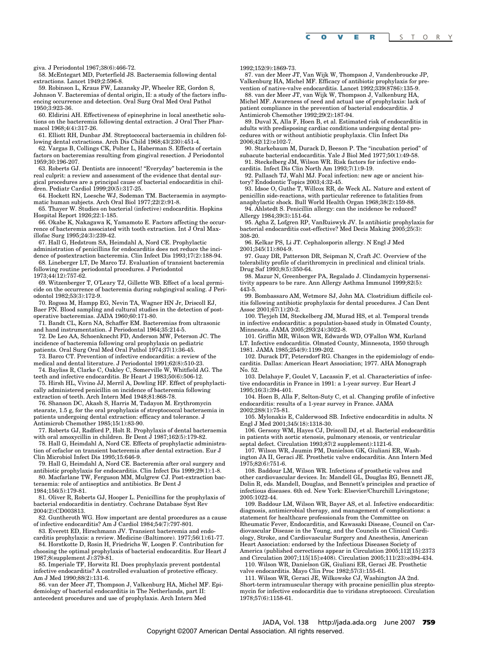**COVER** STORY

giva. J Periodontol 1967;38(6):466-72.

58. McEntegart MD, Porterfield JS. Bacteraemia following dental extractions. Lancet 1949;2:596-8.

59. Robinson L, Kraus FW, Lazansky JP, Wheeler RE, Gordon S, Johnson V. Bacteremias of dental origin, II: a study of the factors influencing occurrence and detection. Oral Surg Oral Med Oral Pathol 1950;3:923-36.

60. Eldirini AH. Effectiveness of epinephrine in local anesthetic solutions on the bacteremia following dental extraction. J Oral Ther Pharmacol 1968;4(4):317-26.

61. Elliott RH, Dunbar JM. Streptococcal bacteraemia in children following dental extractions. Arch Dis Child 1968;43(230):451-4.

62. Vargas B, Collings CK, Polter L, Haberman S. Effects of certain factors on bacteremias resulting from gingival resection. J Periodontol 1959;30:196-207.

63. Roberts GJ. Dentists are innocent! "Everyday" bacteremia is the real culprit: a review and assessment of the evidence that dental surgical procedures are a principal cause of bacterial endocarditis in children. Pediatr Cardiol 1999;20(5):317-25.

64. Hockett RN, Loesche WJ, Sodeman TM. Bacteraemia in asymptomatic human subjects. Arch Oral Biol 1977;22(2):91-8.

65. Thayer W. Studies on bacterial (infective) endocarditis. Hopkins Hospital Report 1926;22:1-185.

66. Okabe K, Nakagawa K, Yamamoto E. Factors affecting the occurrence of bacteremia associated with tooth extraction. Int J Oral Maxillofac Surg 1995;24(3):239-42.

67. Hall G, Hedstrom SA, Heimdahl A, Nord CE. Prophylactic

administration of penicillins for endocarditis does not reduce the incidence of postextraction bacteremia. Clin Infect Dis 1993;17(2):188-94. 68. Lineberger LT, De Marco TJ. Evaluation of transient bacteremia following routine periodontal procedures. J Periodontol

1973;44(12):757-62.

69. Witzenberger T, O'Leary TJ, Gillette WB. Effect of a local germicide on the occurrence of bacteremia during subgingival scaling. J Periodontol 1982;53(3):172-9.

70. Rogosa M, Hampp EG, Nevin TA, Wagner HN Jr, Driscoll EJ, Baer PN. Blood sampling and cultural studies in the detection of postoperative bacteremias. JADA 1960;60:171-80.

71. Bandt CL, Korn NA, Schaffer EM. Bacteremias from ultrasonic and hand instrumentation. J Periodontal 1964;35:214-5.

72. De Leo AA, Schoenknecht FD, Anderson MW, Peterson JC. The incidence of bacteremia following oral prophylaxis on pediatric patients. Oral Surg Oral Med Oral Pathol 1974;37(1):36-45.

73. Barco CT. Prevention of infective endocarditis: a review of the medical and dental literature. J Periodontol 1991;62(8):510-23.

74. Bayliss R, Clarke C, Oakley C, Somerville W, Whitfield AG. The teeth and infective endocarditis. Br Heart J 1983;50(6):506-12.

75. Hirsh HL, Vivino JJ, Merril A, Dowling HF. Effect of prophylactically administered penicillin on incidence of bacteremia following extraction of teeth. Arch Intern Med 1948;81:868-78.

76. Shanson DC, Akash S, Harris M, Tadayon M. Erythromycin stearate, 1.5 g, for the oral prophylaxis of streptococcal bacteraemia in patients undergoing dental extraction: efficacy and tolerance. J Antimicrob Chemother 1985;15(1):83-90.

77. Roberts GJ, Radford P, Holt R. Prophylaxis of dental bacteraemia with oral amoxycillin in children. Br Dent J 1987;162(5):179-82.

78. Hall G, Heimdahl A, Nord CE. Effects of prophylactic administration of cefaclor on transient bacteremia after dental extraction. Eur J Clin Microbiol Infect Dis 1995;15:646-9.

79. Hall G, Heimdahl A, Nord CE. Bacteremia after oral surgery and antibiotic prophylaxis for endocarditis. Clin Infect Dis 1999;29(1):1-8. 80. Macfarlane TW, Ferguson MM, Mulgrew CJ. Post-extraction bac-

teraemia: role of antiseptics and antibiotics. Br Dent J 1984;156(5):179-81.

81. Oliver R, Roberts GJ, Hooper L. Penicillins for the prophylaxis of bacterial endocarditis in dentistry. Cochrane Database Syst Rev 2004(2):CD003813.

82. Guntheroth WG. How important are dental procedures as a cause of infective endocarditis? Am J Cardiol 1984;54(7):797-801.

83. Everett ED, Hirschmann JV. Transient bacteremia and endocarditis prophylaxis: a review. Medicine (Baltimore). 1977;56(1):61-77.

84. Horstkotte D, Rosin H, Friedrichs W, Loogen F. Contribution for choosing the optimal prophylaxis of bacterial endocarditis. Eur Heart J 1987;8(supplement J):379-81.

85. Imperiale TF, Horwitz RI. Does prophylaxis prevent postdental infective endocarditis? A controlled evaluation of protective efficacy. Am J Med 1990;88(2):131-6.

86. van der Meer JT, Thompson J, Valkenburg HA, Michel MF. Epidemiology of bacterial endocarditis in The Netherlands, part II: antecedent procedures and use of prophylaxis. Arch Intern Med

1992;152(9):1869-73.

87. van der Meer JT, Van Wijk W, Thompson J, Vandenbroucke JP, Valkenburg HA, Michel MF. Efficacy of antibiotic prophylaxis for prevention of native-valve endocarditis. Lancet 1992;339(8786):135-9.

88. van der Meer JT, van Wijk W, Thompson J, Valkenburg HA, Michel MF. Awareness of need and actual use of prophylaxis: lack of patient compliance in the prevention of bacterial endocarditis. J Antimicrob Chemother 1992;29(2):187-94.

89. Duval X, Alla F, Hoen B, et al. Estimated risk of endocarditis in adults with predisposing cardiac conditions undergoing dental procedures with or without antibiotic prophylaxis. Clin Infect Dis 2006;42(12):e102-7.

90. Starkebaum M, Durack D, Beeson P. The "incubation period" of subacute bacterial endocarditis. Yale J Biol Med 1977;50(1):49-58. 91. Steckelberg JM, Wilson WR. Risk factors for infective endo-

carditis. Infect Dis Clin North Am 1993;7(1):9-19.

92. Pallasch TJ, Wahl MJ. Focal infection: new age or ancient history? Endodontic Topics 2003;4:32-45.

93. Idsoe O, Guthe T, Willcox RR, de Weck AL. Nature and extent of penicillin side-reactions, with particular reference to fatalities from anaphylactic shock. Bull World Health Organ 1968;38(2):159-88.

94. Ahlstedt S. Penicillin allergy: can the incidence be reduced? Allergy 1984;39(3):151-64.

95. Agha Z, Lofgren RP, VanRuiswyk JV. Is antibiotic prophylaxis for bacterial endocarditis cost-effective? Med Decis Making 2005;25(3): 308-20.

96. Kelkar PS, Li JT. Cephalosporin allergy. N Engl J Med 2001;345(11):804-9.

97. Guay DR, Patterson DR, Seipman N, Craft JC. Overview of the tolerability profile of clarithromycin in preclinical and clinical trials. Drug Saf 1993;8(5):350-64.

98. Mazur N, Greenberger PA, Regalado J. Clindamycin hypersensitivity appears to be rare. Ann Allergy Asthma Immunol 1999;82(5): 443-5.

99. Bombassaro AM, Wetmore SJ, John MA. Clostridium difficile colitis following antibiotic prophylaxis for dental procedures. J Can Dent Assoc 2001;67(1):20-2.

100. Tleyjeh IM, Steckelberg JM, Murad HS, et al. Temporal trends in infective endocarditis: a population-based study in Olmsted County, Minnesota. JAMA 2005;293(24):3022-8.

101. Griffin MR, Wilson WR, Edwards WD, O'Fallon WM, Kurland LT. Infective endocarditis. Olmsted County, Minnesota, 1950 through 1981. JAMA 1985;254(9):1199-202.

102. Durack DT, Petersdorf RG. Changes in the epidemiology of endocarditis. Dallas: American Heart Association; 1977. AHA Monograph No. 52.

103. Delahaye F, Goulet V, Lacassin F, et al. Characteristics of infective endocarditis in France in 1991: a 1-year survey. Eur Heart J 1995;16(3):394-401.

104. Hoen B, Alla F, Selton-Suty C, et al. Changing profile of infective endocarditis: results of a 1-year survey in France. JAMA 2002;288(1):75-81.

105. Mylonakis E, Calderwood SB. Infective endocarditis in adults. N Engl J Med 2001;345(18):1318-30.

106. Gersony WM, Hayes CJ, Driscoll DJ, et al. Bacterial endocarditis in patients with aortic stenosis, pulmonary stenosis, or ventricular

septal defect. Circulation 1993;87(2 supplement):1121-6. 107. Wilson WR, Jaumin PM, Danielson GK, Giuliani ER, Wash-

ington JA II, Geraci JE. Prosthetic valve endocarditis. Ann Intern Med 1975;82(6):751-6.

108. Baddour LM, Wilson WR. Infections of prosthetic valves and other cardiovascular devices. In: Mandell GL, Douglas RG, Bennett JE, Dolin R, eds. Mandell, Douglas, and Bennett's principles and practice of infectious diseases. 6th ed. New York: Elsevier/Churchill Livingstone; 2005:1022-44.

109. Baddour LM, Wilson WR, Bayer AS, et al. Infective endocarditis: diagnosis, antimicrobial therapy, and management of complications: a statement for healthcare professionals from the Committee on Rheumatic Fever, Endocarditis, and Kawasaki Disease, Council on Cardiovascular Disease in the Young, and the Councils on Clinical Cardiology, Stroke, and Cardiovascular Surgery and Anesthesia, American Heart Association: endorsed by the Infectious Diseases Society of America (published corrections appear in Circulation 2005;112[15]:2373 and Circulation 2007;115[15]:e408). Circulation 2005;111(23):e394-434.

110. Wilson WR, Danielson GK, Giuliani ER, Geraci JE. Prosthetic valve endocarditis. Mayo Clin Proc 1982;57(3):155-61.

111. Wilson WR, Geraci JE, Wilkowske CJ, Washington JA 2nd. Short-term intramuscular therapy with procaine penicillin plus streptomycin for infective endocarditis due to viridans streptococci. Circulation 1978;57(6):1158-61.